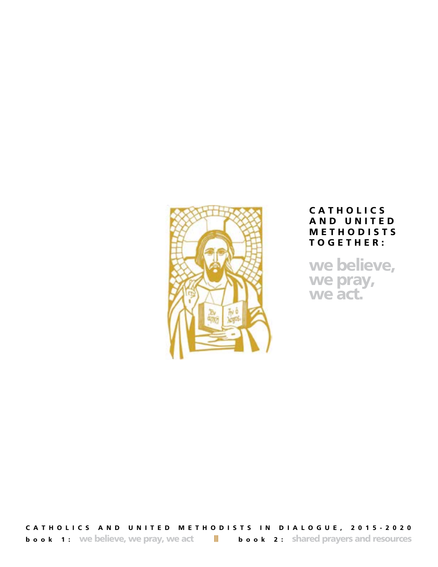

# **C A T H O L I C S A N D U N I T E D M E T H O D I S T S T O G E T H E R :**

**we believe, we pray, we act.**

**CATHOLICS AND UNITED METHODISTS IN DIALOGUE, 2015-2020 book 1:** We believe, we pray, we act  $\|\cdot\|$  **book 2:** shared prayers and resources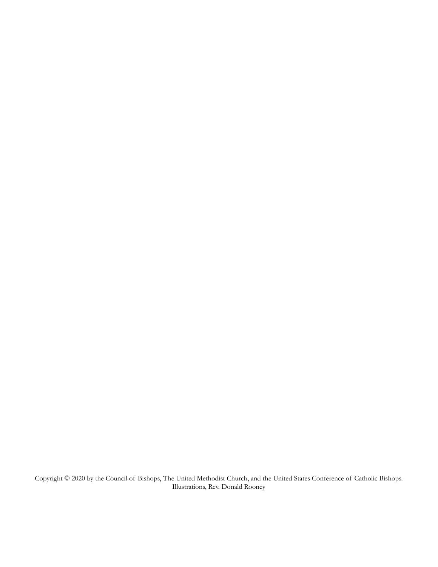Copyright © 2020 by the Council of Bishops, The United Methodist Church, and the United States Conference of Catholic Bishops. Illustrations, Rev. Donald Rooney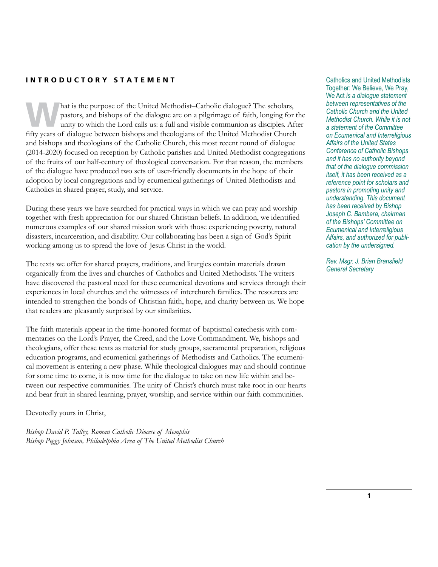## **INTRODUCTORY STATEMENT** Catholics and United Methodists

hat is the purpose of the United Methodist–Catholic dialogue? The scholars, pastors, and bishops of the dialogue are on a pilgrimage of faith, longing for the unity to which the Lord calls us: a full and visible communion pastors, and bishops of the dialogue are on a pilgrimage of faith, longing for the fifty years of dialogue between bishops and theologians of the United Methodist Church and bishops and theologians of the Catholic Church, this most recent round of dialogue (2014-2020) focused on reception by Catholic parishes and United Methodist congregations of the fruits of our half-century of theological conversation. For that reason, the members of the dialogue have produced two sets of user-friendly documents in the hope of their adoption by local congregations and by ecumenical gatherings of United Methodists and Catholics in shared prayer, study, and service.

During these years we have searched for practical ways in which we can pray and worship together with fresh appreciation for our shared Christian beliefs. In addition, we identified numerous examples of our shared mission work with those experiencing poverty, natural disasters, incarceration, and disability. Our collaborating has been a sign of God's Spirit working among us to spread the love of Jesus Christ in the world.

The texts we offer for shared prayers, traditions, and liturgies contain materials drawn organically from the lives and churches of Catholics and United Methodists. The writers have discovered the pastoral need for these ecumenical devotions and services through their experiences in local churches and the witnesses of interchurch families. The resources are intended to strengthen the bonds of Christian faith, hope, and charity between us. We hope that readers are pleasantly surprised by our similarities.

The faith materials appear in the time-honored format of baptismal catechesis with commentaries on the Lord's Prayer, the Creed, and the Love Commandment. We, bishops and theologians, offer these texts as material for study groups, sacramental preparation, religious education programs, and ecumenical gatherings of Methodists and Catholics. The ecumenical movement is entering a new phase. While theological dialogues may and should continue for some time to come, it is now time for the dialogue to take on new life within and between our respective communities. The unity of Christ's church must take root in our hearts and bear fruit in shared learning, prayer, worship, and service within our faith communities.

Devotedly yours in Christ,

*Bishop David P. Talley, Roman Catholic Diocese of Memphis Bishop Peggy Johnson, Philadelphia Area of The United Methodist Church*

Together: We Believe, We Pray, We Act *is a dialogue statement between representatives of the Catholic Church and the United Methodist Church. While it is not a statement of the Committee on Ecumenical and Interreligious Affairs of the United States Conference of Catholic Bishops and it has no authority beyond that of the dialogue commission itself, it has been received as a reference point for scholars and pastors in promoting unity and understanding. This document has been received by Bishop Joseph C. Bambera, chairman of the Bishops' Committee on Ecumenical and Interreligious Affairs, and authorized for publication by the undersigned.*

*Rev. Msgr. J. Brian Bransfield General Secretary*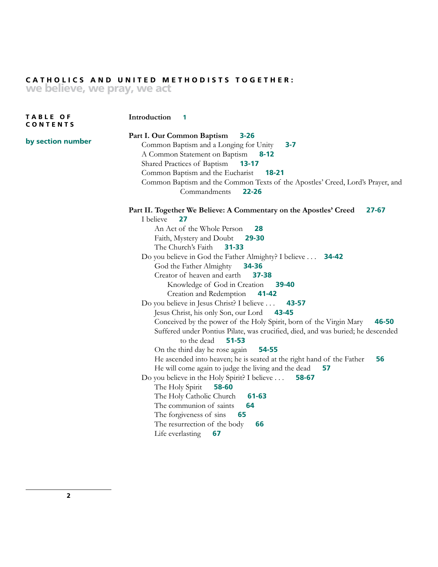## **CATHOLICS AND UNITED METHODISTS TOGETHER: we believe, we pray, we act**

**T A B L E O F CONTENTS**

## **Introduction 1**

**by section number**

**Part I. Our Common Baptism 3-26** Common Baptism and a Longing for Unity **3-7** A Common Statement on Baptism **8-12** Shared Practices of Baptism **13-17** Common Baptism and the Eucharist **18-21** Common Baptism and the Common Texts of the Apostles' Creed, Lord's Prayer, and Commandments **22-26 Part II. Together We Believe: A Commentary on the Apostles' Creed 27-67** I believe **27** An Act of the Whole Person **28** Faith, Mystery and Doubt **29-30** The Church's Faith **31-33** Do you believe in God the Father Almighty? I believe . . . **34-42** God the Father Almighty **34-36** Creator of heaven and earth **37-38** Knowledge of God in Creation **39-40** Creation and Redemption **41-42** Do you believe in Jesus Christ? I believe . . . **43-57** Jesus Christ, his only Son, our Lord **43-45** Conceived by the power of the Holy Spirit, born of the Virgin Mary **46-50** Suffered under Pontius Pilate, was crucified, died, and was buried; he descended to the dead **51-53** On the third day he rose again **54-55** He ascended into heaven; he is seated at the right hand of the Father **56** He will come again to judge the living and the dead **57** Do you believe in the Holy Spirit? I believe . . . **58-67** The Holy Spirit **58-60** The Holy Catholic Church **61-63** The communion of saints **64** The forgiveness of sins **65** The resurrection of the body **66** Life everlasting **67**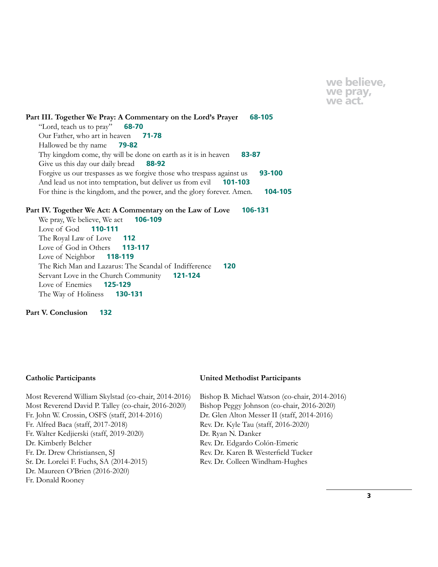**we believe, we pray, we act.**

**Part III. Together We Pray: A Commentary on the Lord's Prayer 68-105** "Lord, teach us to pray" **68-70** Our Father, who art in heaven **71-78** Hallowed be thy name **79-82** Thy kingdom come, thy will be done on earth as it is in heaven **83-87** Give us this day our daily bread **88-92** Forgive us our trespasses as we forgive those who trespass against us **93-100** And lead us not into temptation, but deliver us from evil **101-103** For thine is the kingdom, and the power, and the glory forever. Amen. **104-105**

## **Part IV. Together We Act: A Commentary on the Law of Love 106-131**

We pray, We believe, We act **106-109** Love of God **110-111** The Royal Law of Love **112** Love of God in Others **113-117** Love of Neighbor **118-119** The Rich Man and Lazarus: The Scandal of Indifference **120** Servant Love in the Church Community **121-124** Love of Enemies **125-129** The Way of Holiness **130-131**

**Part V. Conclusion 132**

#### **Catholic Participants**

Most Reverend William Skylstad (co-chair, 2014-2016) Most Reverend David P. Talley (co-chair, 2016-2020) Fr. John W. Crossin, OSFS (staff, 2014-2016) Fr. Alfred Baca (staff, 2017-2018) Fr. Walter Kedjierski (staff, 2019-2020) Dr. Kimberly Belcher Fr. Dr. Drew Christiansen, SJ Sr. Dr. Lorelei F. Fuchs, SA (2014-2015) Dr. Maureen O'Brien (2016-2020) Fr. Donald Rooney

#### **United Methodist Participants**

Bishop B. Michael Watson (co-chair, 2014-2016) Bishop Peggy Johnson (co-chair, 2016-2020) Dr. Glen Alton Messer II (staff, 2014-2016) Rev. Dr. Kyle Tau (staff, 2016-2020) Dr. Ryan N. Danker Rev. Dr. Edgardo Colón-Emeric Rev. Dr. Karen B. Westerfield Tucker Rev. Dr. Colleen Windham-Hughes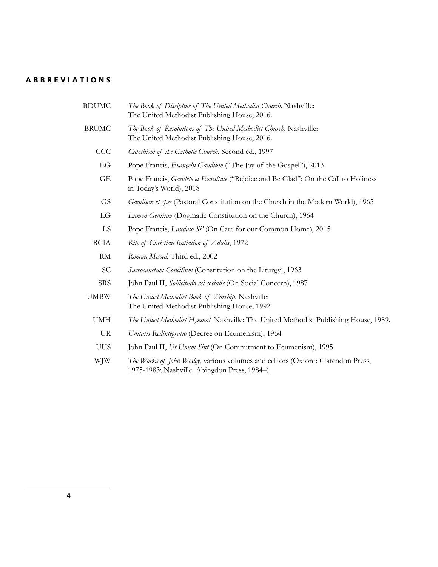## **ABBREVIATIONS**

- BDUMC *The Book of Discipline of The United Methodist Church*. Nashville: The United Methodist Publishing House, 2016.
- BRUMC *The Book of Resolutions of The United Methodist Church*. Nashville: The United Methodist Publishing House, 2016.
	- CCC *Catechism of the Catholic Church*, Second ed., 1997
		- EG Pope Francis, *Evangelii Gaudium* ("The Joy of the Gospel"), 2013
		- GE Pope Francis, *Gaudete et Exsultate* ("Rejoice and Be Glad"; On the Call to Holiness in Today's World), 2018
		- GS *Gaudium et spes* (Pastoral Constitution on the Church in the Modern World), 1965
		- LG *Lumen Gentium* (Dogmatic Constitution on the Church), 1964
		- LS Pope Francis, *Laudato Si'* (On Care for our Common Home), 2015
	- RCIA *Rite of Christian Initiation of Adults*, 1972
		- RM *Roman Missal*, Third ed., 2002
		- SC *Sacrosanctum Concilium* (Constitution on the Liturgy), 1963
	- SRS John Paul II, *Sollicitudo rei socialis* (On Social Concern), 1987
- UMBW *The United Methodist Book of Worship*. Nashville: The United Methodist Publishing House, 1992.
	- UMH *The United Methodist Hymnal*. Nashville: The United Methodist Publishing House, 1989.
	- UR *Unitatis Redintegratio* (Decree on Ecumenism), 1964
	- UUS John Paul II, *Ut Unum Sint* (On Commitment to Ecumenism), 1995
	- WJW *The Works of John Wesley*, various volumes and editors (Oxford: Clarendon Press, 1975-1983; Nashville: Abingdon Press, 1984–).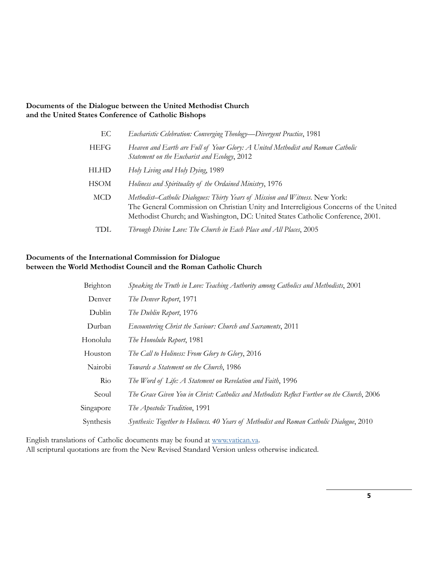## **Documents of the Dialogue between the United Methodist Church and the United States Conference of Catholic Bishops**

| EC          | Eucharistic Celebration: Converging Theology-Divergent Practice, 1981                                                                                                                                                                                 |
|-------------|-------------------------------------------------------------------------------------------------------------------------------------------------------------------------------------------------------------------------------------------------------|
| <b>HEFG</b> | Heaven and Earth are Full of Your Glory: A United Methodist and Roman Catholic<br>Statement on the Eucharist and Ecology, 2012                                                                                                                        |
| <b>HLHD</b> | Holy Living and Holy Dying, 1989                                                                                                                                                                                                                      |
| <b>HSOM</b> | Holiness and Spirituality of the Ordained Ministry, 1976                                                                                                                                                                                              |
| MCD         | Methodist–Catholic Dialogues: Thirty Years of Mission and Witness. New York:<br>The General Commission on Christian Unity and Interreligious Concerns of the United<br>Methodist Church; and Washington, DC: United States Catholic Conference, 2001. |
| TDL.        | Through Divine Love: The Church in Each Place and All Places, 2005                                                                                                                                                                                    |

## **Documents of the International Commission for Dialogue between the World Methodist Council and the Roman Catholic Church**

| Brighton  | Speaking the Truth in Love: Teaching Authority among Catholics and Methodists, 2001         |
|-----------|---------------------------------------------------------------------------------------------|
| Denver    | The Denver Report, 1971                                                                     |
| Dublin    | The Dublin Report, 1976                                                                     |
| Durban    | Encountering Christ the Saviour: Church and Sacraments, 2011                                |
| Honolulu  | The Honolulu Report, 1981                                                                   |
| Houston   | The Call to Holiness: From Glory to Glory, 2016                                             |
| Nairobi   | Towards a Statement on the Church, 1986                                                     |
| Rio       | The Word of Life: A Statement on Revelation and Faith, 1996                                 |
| Seoul     | The Grace Given You in Christ: Catholics and Methodists Reflect Further on the Church, 2006 |
| Singapore | The Apostolic Tradition, 1991                                                               |
| Synthesis | Synthesis: Together to Holiness. 40 Years of Methodist and Roman Catholic Dialogue, 2010    |
|           |                                                                                             |

English translations of Catholic documents may be found at [www.vatican.va](http://www.vatican.va). All scriptural quotations are from the New Revised Standard Version unless otherwise indicated.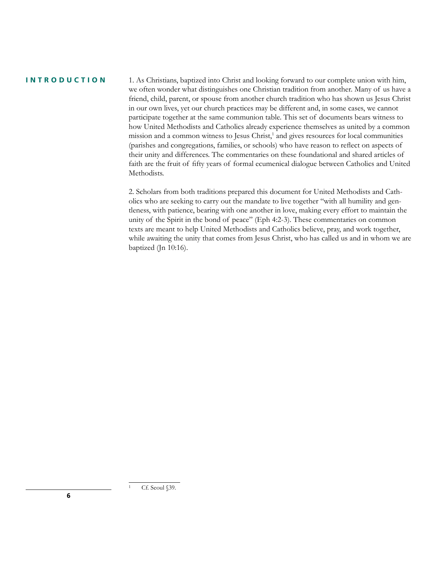#### **INTRODUCTION**

1. As Christians, baptized into Christ and looking forward to our complete union with him, we often wonder what distinguishes one Christian tradition from another. Many of us have a friend, child, parent, or spouse from another church tradition who has shown us Jesus Christ in our own lives, yet our church practices may be different and, in some cases, we cannot participate together at the same communion table. This set of documents bears witness to how United Methodists and Catholics already experience themselves as united by a common mission and a common witness to Jesus Christ,<sup>1</sup> and gives resources for local communities (parishes and congregations, families, or schools) who have reason to reflect on aspects of their unity and differences. The commentaries on these foundational and shared articles of faith are the fruit of fifty years of formal ecumenical dialogue between Catholics and United Methodists.

2. Scholars from both traditions prepared this document for United Methodists and Catholics who are seeking to carry out the mandate to live together "with all humility and gentleness, with patience, bearing with one another in love, making every effort to maintain the unity of the Spirit in the bond of peace" (Eph 4:2-3). These commentaries on common texts are meant to help United Methodists and Catholics believe, pray, and work together, while awaiting the unity that comes from Jesus Christ, who has called us and in whom we are baptized (Jn 10:16).

Cf. Seoul §39.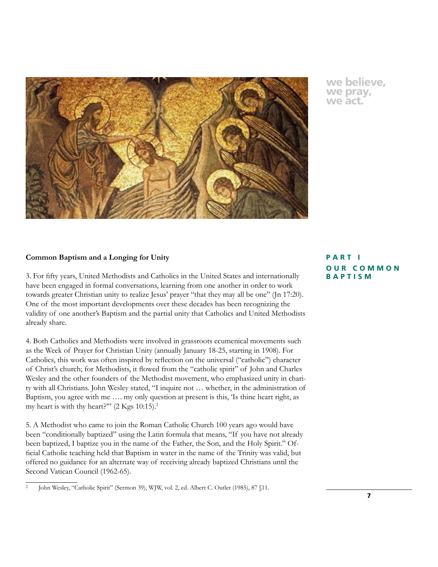

## **we believe, we pray, we act.**

## **Common Baptism and a Longing for Unity**

3. For fifty years, United Methodists and Catholics in the United States and internationally have been engaged in formal conversations, learning from one another in order to work towards greater Christian unity to realize Jesus' prayer "that they may all be one" (Jn 17:20). One of the most important developments over these decades has been recognizing the validity of one another's Baptism and the partial unity that Catholics and United Methodists already share.

4. Both Catholics and Methodists were involved in grassroots ecumenical movements such as the Week of Prayer for Christian Unity (annually January 18-25, starting in 1908). For Catholics, this work was often inspired by reflection on the universal ("catholic") character of Christ's church; for Methodists, it flowed from the "catholic spirit" of John and Charles Wesley and the other founders of the Methodist movement, who emphasized unity in charity with all Christians. John Wesley stated, "I inquire not … whether, in the administration of Baptism, you agree with me …. my only question at present is this, 'Is thine heart right, as my heart is with thy heart?""  $(2 \text{ Kgs } 10:15).<sup>2</sup>$ 

5. A Methodist who came to join the Roman Catholic Church 100 years ago would have been "conditionally baptized" using the Latin formula that means, "If you have not already been baptized, I baptize you in the name of the Father, the Son, and the Holy Spirit." Official Catholic teaching held that Baptism in water in the name of the Trinity was valid, but offered no guidance for an alternate way of receiving already baptized Christians until the Second Vatican Council (1962-65).

## **PART I OUR COMMON BAPTISM**

<sup>2</sup> John Wesley, "Catholic Spirit" (Sermon 39), WJW, vol. 2, ed. Albert C. Outler (1985), 87 §11.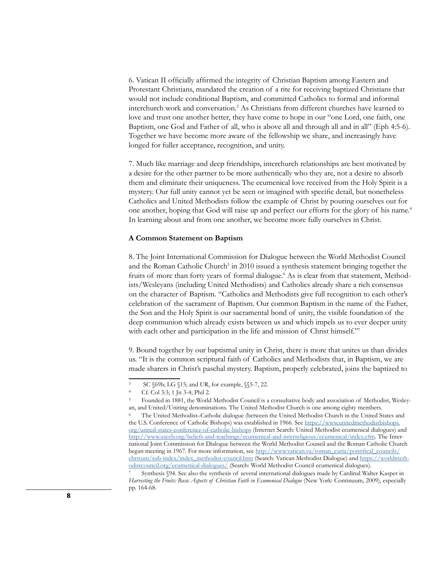6. Vatican II officially affirmed the integrity of Christian Baptism among Eastern and Protestant Christians, mandated the creation of a rite for receiving baptized Christians that would not include conditional Baptism, and committed Catholics to formal and informal interchurch work and conversation.3 As Christians from different churches have learned to love and trust one another better, they have come to hope in our "one Lord, one faith, one Baptism, one God and Father of all, who is above all and through all and in all" (Eph 4:5-6). Together we have become more aware of the fellowship we share, and increasingly have longed for fuller acceptance, recognition, and unity.

7. Much like marriage and deep friendships, interchurch relationships are best motivated by a desire for the other partner to be more authentically who they are, not a desire to absorb them and eliminate their uniqueness. The ecumenical love received from the Holy Spirit is a mystery. Our full unity cannot yet be seen or imagined with specific detail, but nonetheless Catholics and United Methodists follow the example of Christ by pouring ourselves out for one another, hoping that God will raise up and perfect our efforts for the glory of his name.<sup>4</sup> In learning about and from one another, we become more fully ourselves in Christ.

#### **A Common Statement on Baptism**

8. The Joint International Commission for Dialogue between the World Methodist Council and the Roman Catholic Church<sup>5</sup> in 2010 issued a synthesis statement bringing together the fruits of more than forty years of formal dialogue.<sup>6</sup> As is clear from that statement, Methodists/Wesleyans (including United Methodists) and Catholics already share a rich consensus on the character of Baptism. "Catholics and Methodists give full recognition to each other's celebration of the sacrament of Baptism. Our common Baptism in the name of the Father, the Son and the Holy Spirit is our sacramental bond of unity, the visible foundation of the deep communion which already exists between us and which impels us to ever deeper unity with each other and participation in the life and mission of Christ himself."<sup>7</sup>

9. Bound together by our baptismal unity in Christ, there is more that unites us than divides us. "It is the common scriptural faith of Catholics and Methodists that, in Baptism, we are made sharers in Christ's paschal mystery. Baptism, properly celebrated, joins the baptized to

SC §69b; LG §15; and UR, for example, §§5-7, 22.

<sup>4</sup> Cf. Col 3:3; 1 Jn 3-4; Phil 2.

<sup>5</sup> Founded in 1881, the World Methodist Council is a consultative body and association of Methodist, Wesleyan, and United/Uniting denominations. The United Methodist Church is one among eighty members.

<sup>6</sup> The United Methodist–Catholic dialogue (between the United Methodist Church in the United States and the U.S. Conference of Catholic Bishops) was established in 1966. See [https://www.unitedmethodistbishops.](https://www.unitedmethodistbishops.org/united-states-conference-of-catholic-bishops) [org/united-states-conference-of-catholic-bishops](https://www.unitedmethodistbishops.org/united-states-conference-of-catholic-bishops) (Internet Search: United Methodist ecumenical dialogues) and <http://www.usccb.org/beliefs-and-teachings/ecumenical-and-interreligious/ecumenical/index.cfm>. The International Joint Commission for Dialogue between the World Methodist Council and the Roman Catholic Church began meeting in 1967. For more information, see [http://www.vatican.va/roman\\_curia/pontifical\\_councils/](http://www.vatican.va/roman_curia/pontifical_councils/chrstuni/sub-index/index_methodist-council.htm) [chrstuni/sub-index/index\\_methodist-council.htm](http://www.vatican.va/roman_curia/pontifical_councils/chrstuni/sub-index/index_methodist-council.htm) (Search: Vatican Methodist Dialogue) and [https://worldmeth](https://worldmethodistcouncil.org/ecumenical-dialogues/)[odistcouncil.org/ecumenical-dialogues/](https://worldmethodistcouncil.org/ecumenical-dialogues/) (Search: World Methodist Council ecumenical dialogues).

Synthesis §94. See also the synthesis of several international dialogues made by Cardinal Walter Kasper in *Harvesting the Fruits: Basic Aspects of Christian Faith in Ecumenical Dialogue* (New York: Continuum, 2009), especially pp. 164-68.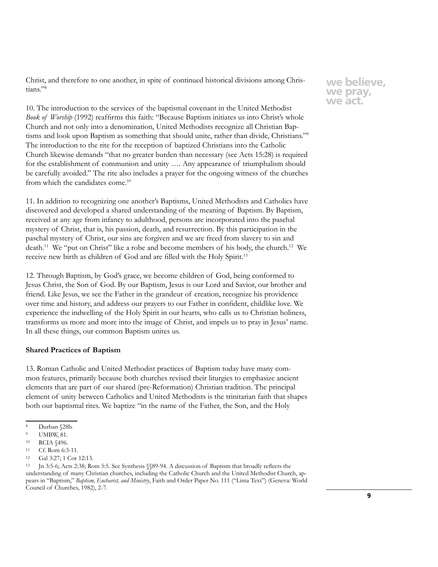Christ, and therefore to one another, in spite of continued historical divisions among Christians."8

10. The introduction to the services of the baptismal covenant in the United Methodist *Book of Worship* (1992) reaffirms this faith: "Because Baptism initiates us into Christ's whole Church and not only into a denomination, United Methodists recognize all Christian Baptisms and look upon Baptism as something that should unite, rather than divide, Christians."9 The introduction to the rite for the reception of baptized Christians into the Catholic Church likewise demands "that no greater burden than necessary (see Acts 15:28) is required for the establishment of communion and unity …. Any appearance of triumphalism should be carefully avoided." The rite also includes a prayer for the ongoing witness of the churches from which the candidates come.10

11. In addition to recognizing one another's Baptisms, United Methodists and Catholics have discovered and developed a shared understanding of the meaning of Baptism. By Baptism, received at any age from infancy to adulthood, persons are incorporated into the paschal mystery of Christ, that is, his passion, death, and resurrection. By this participation in the paschal mystery of Christ, our sins are forgiven and we are freed from slavery to sin and death.<sup>11</sup> We "put on Christ" like a robe and become members of his body, the church.<sup>12</sup> We receive new birth as children of God and are filled with the Holy Spirit.<sup>13</sup>

12. Through Baptism, by God's grace, we become children of God, being conformed to Jesus Christ, the Son of God. By our Baptism, Jesus is our Lord and Savior, our brother and friend. Like Jesus, we see the Father in the grandeur of creation, recognize his providence over time and history, and address our prayers to our Father in confident, childlike love. We experience the indwelling of the Holy Spirit in our hearts, who calls us to Christian holiness, transforms us more and more into the image of Christ, and impels us to pray in Jesus' name. In all these things, our common Baptism unites us.

#### **Shared Practices of Baptism**

13. Roman Catholic and United Methodist practices of Baptism today have many common features, primarily because both churches revised their liturgies to emphasize ancient elements that are part of our shared (pre-Reformation) Christian tradition. The principal element of unity between Catholics and United Methodists is the trinitarian faith that shapes both our baptismal rites. We baptize "in the name of the Father, the Son, and the Holy

<sup>8</sup> Durban §28b.

**UMBW, 81.** 

<sup>10</sup> RCIA §496.

<sup>11</sup> Cf. Rom 6:3-11.

<sup>12</sup> Gal 3:27; 1 Cor 12:13.

<sup>13</sup> Jn 3:5-6; Acts 2:38; Rom 5:5. See Synthesis §§89-94. A discussion of Baptism that broadly reflects the understanding of many Christian churches, including the Catholic Church and the United Methodist Church, appears in "Baptism," *Baptism, Eucharist, and Ministry*, Faith and Order Paper No. 111 ("Lima Text") (Geneva: World Council of Churches, 1982), 2-7.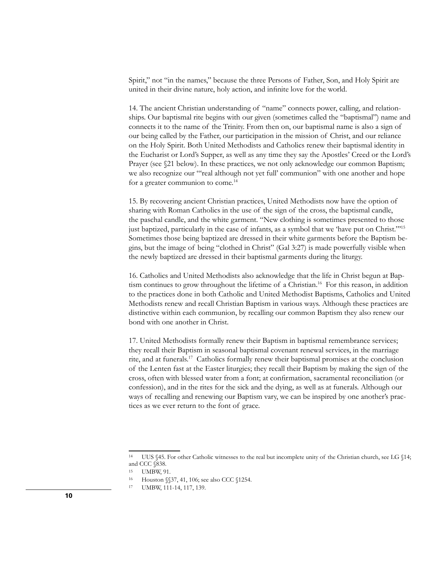Spirit," not "in the names," because the three Persons of Father, Son, and Holy Spirit are united in their divine nature, holy action, and infinite love for the world.

14. The ancient Christian understanding of "name" connects power, calling, and relationships. Our baptismal rite begins with our given (sometimes called the "baptismal") name and connects it to the name of the Trinity. From then on, our baptismal name is also a sign of our being called by the Father, our participation in the mission of Christ, and our reliance on the Holy Spirit. Both United Methodists and Catholics renew their baptismal identity in the Eucharist or Lord's Supper, as well as any time they say the Apostles' Creed or the Lord's Prayer (see  $\S21$  below). In these practices, we not only acknowledge our common Baptism; we also recognize our "'real although not yet full' communion" with one another and hope for a greater communion to come.<sup>14</sup>

15. By recovering ancient Christian practices, United Methodists now have the option of sharing with Roman Catholics in the use of the sign of the cross, the baptismal candle, the paschal candle, and the white garment. "New clothing is sometimes presented to those just baptized, particularly in the case of infants, as a symbol that we 'have put on Christ."'15 Sometimes those being baptized are dressed in their white garments before the Baptism begins, but the image of being "clothed in Christ" (Gal 3:27) is made powerfully visible when the newly baptized are dressed in their baptismal garments during the liturgy.

16. Catholics and United Methodists also acknowledge that the life in Christ begun at Baptism continues to grow throughout the lifetime of a Christian.16 For this reason, in addition to the practices done in both Catholic and United Methodist Baptisms, Catholics and United Methodists renew and recall Christian Baptism in various ways. Although these practices are distinctive within each communion, by recalling our common Baptism they also renew our bond with one another in Christ.

17. United Methodists formally renew their Baptism in baptismal remembrance services; they recall their Baptism in seasonal baptismal covenant renewal services, in the marriage rite, and at funerals.17 Catholics formally renew their baptismal promises at the conclusion of the Lenten fast at the Easter liturgies; they recall their Baptism by making the sign of the cross, often with blessed water from a font; at confirmation, sacramental reconciliation (or confession), and in the rites for the sick and the dying, as well as at funerals. Although our ways of recalling and renewing our Baptism vary, we can be inspired by one another's practices as we ever return to the font of grace.

<sup>14</sup> UUS §45. For other Catholic witnesses to the real but incomplete unity of the Christian church, see LG §14; and CCC §838.

<sup>15</sup> UMBW, 91.

<sup>16</sup> Houston §§37, 41, 106; see also CCC §1254.

<sup>17</sup> UMBW, 111-14, 117, 139.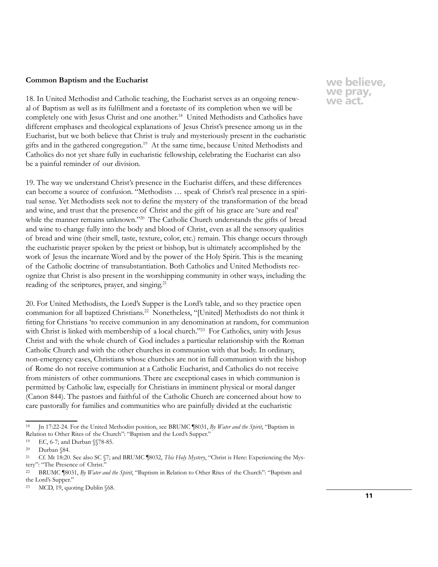#### **Common Baptism and the Eucharist**

18. In United Methodist and Catholic teaching, the Eucharist serves as an ongoing renewal of Baptism as well as its fulfillment and a foretaste of its completion when we will be completely one with Jesus Christ and one another.<sup>18</sup> United Methodists and Catholics have different emphases and theological explanations of Jesus Christ's presence among us in the Eucharist, but we both believe that Christ is truly and mysteriously present in the eucharistic gifts and in the gathered congregation.19 At the same time, because United Methodists and Catholics do not yet share fully in eucharistic fellowship, celebrating the Eucharist can also be a painful reminder of our division.

19. The way we understand Christ's presence in the Eucharist differs, and these differences can become a source of confusion. "Methodists … speak of Christ's real presence in a spiritual sense. Yet Methodists seek not to define the mystery of the transformation of the bread and wine, and trust that the presence of Christ and the gift of his grace are 'sure and real' while the manner remains unknown."<sup>20</sup> The Catholic Church understands the gifts of bread and wine to change fully into the body and blood of Christ, even as all the sensory qualities of bread and wine (their smell, taste, texture, color, etc.) remain. This change occurs through the eucharistic prayer spoken by the priest or bishop, but is ultimately accomplished by the work of Jesus the incarnate Word and by the power of the Holy Spirit. This is the meaning of the Catholic doctrine of transubstantiation. Both Catholics and United Methodists recognize that Christ is also present in the worshipping community in other ways, including the reading of the scriptures, prayer, and singing.<sup>21</sup>

20. For United Methodists, the Lord's Supper is the Lord's table, and so they practice open communion for all baptized Christians.22 Nonetheless, "[United] Methodists do not think it fitting for Christians 'to receive communion in any denomination at random, for communion with Christ is linked with membership of a local church."<sup>23</sup> For Catholics, unity with Jesus Christ and with the whole church of God includes a particular relationship with the Roman Catholic Church and with the other churches in communion with that body. In ordinary, non-emergency cases, Christians whose churches are not in full communion with the bishop of Rome do not receive communion at a Catholic Eucharist, and Catholics do not receive from ministers of other communions. There are exceptional cases in which communion is permitted by Catholic law, especially for Christians in imminent physical or moral danger (Canon 844). The pastors and faithful of the Catholic Church are concerned about how to care pastorally for families and communities who are painfully divided at the eucharistic

<sup>18</sup> Jn 17:22-24. For the United Methodist position, see BRUMC ¶8031, *By Water and the Spirit*, "Baptism in Relation to Other Rites of the Church": "Baptism and the Lord's Supper."

<sup>19</sup> EC, 6-7; and Durban §§78-85.

<sup>20</sup> Durban §84.

<sup>21</sup> Cf. Mt 18:20. See also SC §7; and BRUMC ¶8032, *This Holy Mystery*, "Christ is Here: Experiencing the Mystery": "The Presence of Christ."

<sup>22</sup> BRUMC ¶8031, *By Water and the Spirit*, "Baptism in Relation to Other Rites of the Church": "Baptism and the Lord's Supper."

<sup>23</sup> MCD, 19, quoting Dublin §68.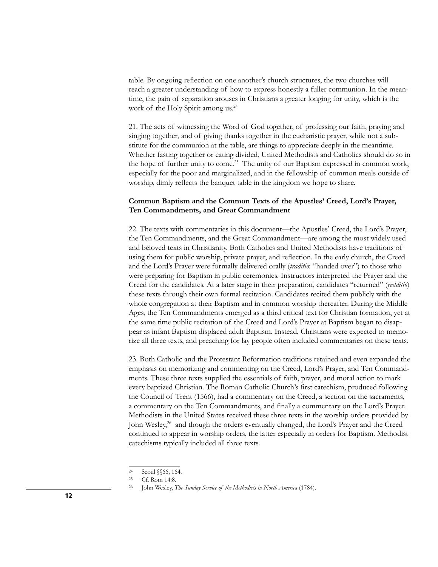table. By ongoing reflection on one another's church structures, the two churches will reach a greater understanding of how to express honestly a fuller communion. In the meantime, the pain of separation arouses in Christians a greater longing for unity, which is the work of the Holy Spirit among us.<sup>24</sup>

21. The acts of witnessing the Word of God together, of professing our faith, praying and singing together, and of giving thanks together in the eucharistic prayer, while not a substitute for the communion at the table, are things to appreciate deeply in the meantime. Whether fasting together or eating divided, United Methodists and Catholics should do so in the hope of further unity to come.<sup>25</sup> The unity of our Baptism expressed in common work, especially for the poor and marginalized, and in the fellowship of common meals outside of worship, dimly reflects the banquet table in the kingdom we hope to share.

## **Common Baptism and the Common Texts of the Apostles' Creed, Lord's Prayer, Ten Commandments, and Great Commandment**

22. The texts with commentaries in this document—the Apostles' Creed, the Lord's Prayer, the Ten Commandments, and the Great Commandment—are among the most widely used and beloved texts in Christianity. Both Catholics and United Methodists have traditions of using them for public worship, private prayer, and reflection. In the early church, the Creed and the Lord's Prayer were formally delivered orally (*traditio*: "handed over") to those who were preparing for Baptism in public ceremonies. Instructors interpreted the Prayer and the Creed for the candidates. At a later stage in their preparation, candidates "returned" (*redditio*) these texts through their own formal recitation. Candidates recited them publicly with the whole congregation at their Baptism and in common worship thereafter. During the Middle Ages, the Ten Commandments emerged as a third critical text for Christian formation, yet at the same time public recitation of the Creed and Lord's Prayer at Baptism began to disappear as infant Baptism displaced adult Baptism. Instead, Christians were expected to memorize all three texts, and preaching for lay people often included commentaries on these texts.

23. Both Catholic and the Protestant Reformation traditions retained and even expanded the emphasis on memorizing and commenting on the Creed, Lord's Prayer, and Ten Commandments. These three texts supplied the essentials of faith, prayer, and moral action to mark every baptized Christian. The Roman Catholic Church's first catechism, produced following the Council of Trent (1566), had a commentary on the Creed, a section on the sacraments, a commentary on the Ten Commandments, and finally a commentary on the Lord's Prayer. Methodists in the United States received these three texts in the worship orders provided by John Wesley,<sup>26</sup> and though the orders eventually changed, the Lord's Prayer and the Creed continued to appear in worship orders, the latter especially in orders for Baptism. Methodist catechisms typically included all three texts.

<sup>24</sup> Seoul §§66, 164.

<sup>25</sup> Cf. Rom 14:8.

<sup>26</sup> John Wesley, *The Sunday Service of the Methodists in North America* (1784).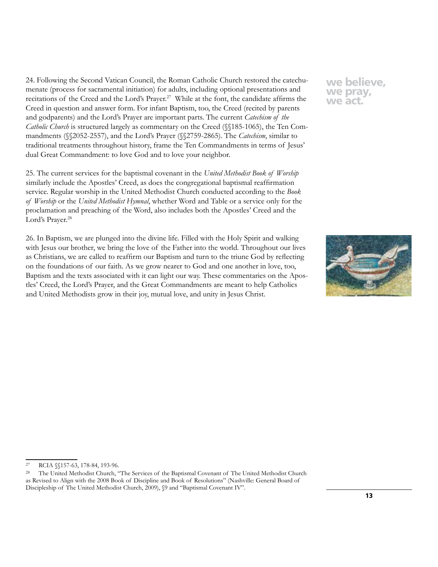24. Following the Second Vatican Council, the Roman Catholic Church restored the catechumenate (process for sacramental initiation) for adults, including optional presentations and recitations of the Creed and the Lord's Prayer.<sup>27</sup> While at the font, the candidate affirms the Creed in question and answer form. For infant Baptism, too, the Creed (recited by parents and godparents) and the Lord's Prayer are important parts. The current *Catechism of the Catholic Church* is structured largely as commentary on the Creed (§§185-1065), the Ten Commandments (§§2052-2557), and the Lord's Prayer (§§2759-2865). The *Catechism*, similar to traditional treatments throughout history, frame the Ten Commandments in terms of Jesus' dual Great Commandment: to love God and to love your neighbor.

25. The current services for the baptismal covenant in the *United Methodist Book of Worship* similarly include the Apostles' Creed, as does the congregational baptismal reaffirmation service. Regular worship in the United Methodist Church conducted according to the *Book of Worship* or the *United Methodist Hymnal*, whether Word and Table or a service only for the proclamation and preaching of the Word, also includes both the Apostles' Creed and the Lord's Prayer.<sup>28</sup>

26. In Baptism, we are plunged into the divine life. Filled with the Holy Spirit and walking with Jesus our brother, we bring the love of the Father into the world. Throughout our lives as Christians, we are called to reaffirm our Baptism and turn to the triune God by reflecting on the foundations of our faith. As we grow nearer to God and one another in love, too, Baptism and the texts associated with it can light our way. These commentaries on the Apostles' Creed, the Lord's Prayer, and the Great Commandments are meant to help Catholics and United Methodists grow in their joy, mutual love, and unity in Jesus Christ.



<sup>27</sup> RCIA §§157-63, 178-84, 193-96.

<sup>&</sup>lt;sup>28</sup> The United Methodist Church, "The Services of the Baptismal Covenant of The United Methodist Church as Revised to Align with the 2008 Book of Discipline and Book of Resolutions" (Nashville: General Board of Discipleship of The United Methodist Church, 2009),  $$9$  and "Baptismal Covenant IV".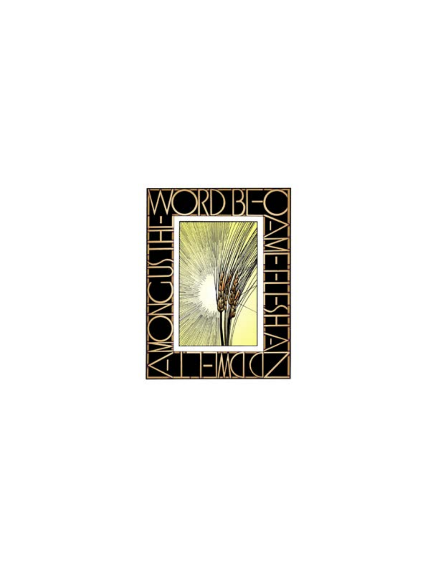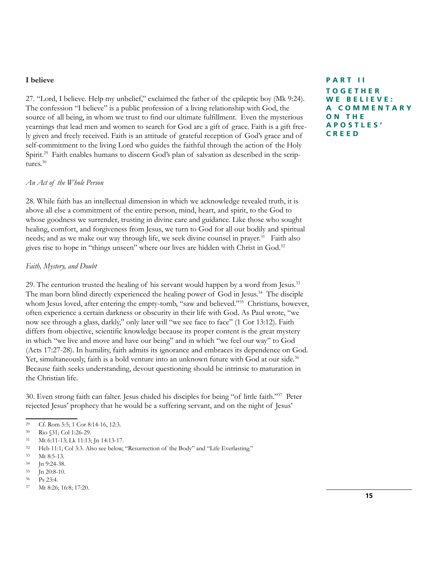#### **I believe**

27. "Lord, I believe. Help my unbelief," exclaimed the father of the epileptic boy (Mk 9:24). The confession "I believe" is a public profession of a living relationship with God, the source of all being, in whom we trust to find our ultimate fulfillment. Even the mysterious yearnings that lead men and women to search for God are a gift of grace. Faith is a gift freely given and freely received. Faith is an attitude of grateful reception of God's grace and of self-commitment to the living Lord who guides the faithful through the action of the Holy Spirit.<sup>29</sup> Faith enables humans to discern God's plan of salvation as described in the scriptures.<sup>30</sup>

## *An Act of the Whole Person*

28. While faith has an intellectual dimension in which we acknowledge revealed truth, it is above all else a commitment of the entire person, mind, heart, and spirit, to the God to whose goodness we surrender, trusting in divine care and guidance. Like those who sought healing, comfort, and forgiveness from Jesus, we turn to God for all our bodily and spiritual needs; and as we make our way through life, we seek divine counsel in prayer.<sup>31</sup> Faith also gives rise to hope in "things unseen" where our lives are hidden with Christ in God.32

#### *Faith, Mystery, and Doubt*

29. The centurion trusted the healing of his servant would happen by a word from Jesus.<sup>33</sup> The man born blind directly experienced the healing power of God in Jesus.<sup>34</sup> The disciple whom Jesus loved, after entering the empty-tomb, "saw and believed."<sup>35</sup> Christians, however, often experience a certain darkness or obscurity in their life with God. As Paul wrote, "we now see through a glass, darkly," only later will "we see face to face" (1 Cor 13:12). Faith differs from objective, scientific knowledge because its proper content is the great mystery in which "we live and move and have our being" and in which "we feel our way" to God (Acts 17:27-28). In humility, faith admits its ignorance and embraces its dependence on God. Yet, simultaneously, faith is a bold venture into an unknown future with God at our side.<sup>36</sup> Because faith seeks understanding, devout questioning should be intrinsic to maturation in the Christian life.

30. Even strong faith can falter. Jesus chided his disciples for being "of little faith."37 Peter rejected Jesus' prophecy that he would be a suffering servant, and on the night of Jesus'

<sup>35</sup> Jn 20:8-10.

## **PART II TOGETHER WE BELIEVE: A C O M M E N T A R Y O N T H E A P O S T L E S ' CREED**

<sup>29</sup> Cf. Rom 5:5; 1 Cor 8:14-16, 12:3.

<sup>30</sup> Rio §31; Col 1:26-29.

<sup>31</sup> Mt 6:11-13; Lk 11:13; Jn 14:13-17.

<sup>32</sup> Heb 11:1; Col 3:3. Also see below, "Resurrection of the Body" and "Life Everlasting."

<sup>33</sup> Mt 8:5-13.

<sup>34</sup> Jn 9:24-38.

<sup>36</sup> Ps 23:4.

<sup>37</sup> Mt 8:26; 16:8; 17:20.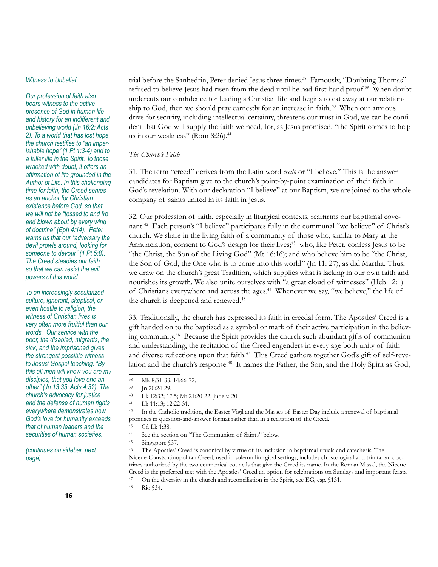#### *Witness to Unbelief*

*Our profession of faith also bears witness to the active presence of God in human life and history for an indifferent and unbelieving world (Jn 16:2; Acts 2). To a world that has lost hope, the church testifies to "an imperishable hope" (1 Pt 1:3-4) and to a fuller life in the Spirit. To those wracked with doubt, it offers an affirmation of life grounded in the Author of Life. In this challenging time for faith, the Creed serves as an anchor for Christian existence before God, so that we will not be "tossed to and fro and blown about by every wind of doctrine" (Eph 4:14). Peter warns us that our "adversary the devil prowls around, looking for someone to devour" (1 Pt 5:8). The Creed steadies our faith so that we can resist the evil powers of this world.*

*To an increasingly secularized culture, ignorant, skeptical, or even hostile to religion, the witness of Christian lives is very often more fruitful than our words. Our service with the poor, the disabled, migrants, the sick, and the imprisoned gives the strongest possible witness to Jesus' Gospel teaching. "By this all men will know you are my disciples, that you love one another" (Jn 13:35; Acts 4:32). The church's advocacy for justice and the defense of human rights everywhere demonstrates how God's love for humanity exceeds that of human leaders and the securities of human societies.* 

*(continues on sidebar, next page)*

trial before the Sanhedrin, Peter denied Jesus three times.<sup>38</sup> Famously, "Doubting Thomas" refused to believe Jesus had risen from the dead until he had first-hand proof.39 When doubt undercuts our confidence for leading a Christian life and begins to eat away at our relationship to God, then we should pray earnestly for an increase in faith.<sup>40</sup> When our anxious drive for security, including intellectual certainty, threatens our trust in God, we can be confident that God will supply the faith we need, for, as Jesus promised, "the Spirit comes to help us in our weakness" (Rom 8:26).<sup>41</sup>

## *The Church's Faith*

31. The term "creed" derives from the Latin word *credo* or "I believe." This is the answer candidates for Baptism give to the church's point-by-point examination of their faith in God's revelation. With our declaration "I believe" at our Baptism, we are joined to the whole company of saints united in its faith in Jesus.

32. Our profession of faith, especially in liturgical contexts, reaffirms our baptismal covenant.42 Each person's "I believe" participates fully in the communal "we believe" of Christ's church. We share in the living faith of a community of those who, similar to Mary at the Annunciation, consent to God's design for their lives;<sup>43</sup> who, like Peter, confess Jesus to be "the Christ, the Son of the Living God" (Mt 16:16); and who believe him to be "the Christ, the Son of God, the One who is to come into this world" (Jn 11: 27), as did Martha. Thus, we draw on the church's great Tradition, which supplies what is lacking in our own faith and nourishes its growth. We also unite ourselves with "a great cloud of witnesses" (Heb 12:1) of Christians everywhere and across the ages.<sup>44</sup> Whenever we say, "we believe," the life of the church is deepened and renewed.<sup>45</sup>

33. Traditionally, the church has expressed its faith in creedal form. The Apostles' Creed is a gift handed on to the baptized as a symbol or mark of their active participation in the believing community.46 Because the Spirit provides the church such abundant gifts of communion and understanding, the recitation of the Creed engenders in every age both unity of faith and diverse reflections upon that faith.<sup>47</sup> This Creed gathers together God's gift of self-revelation and the church's response.<sup>48</sup> It names the Father, the Son, and the Holy Spirit as God,

<sup>42</sup> In the Catholic tradition, the Easter Vigil and the Masses of Easter Day include a renewal of baptismal promises in question-and-answer format rather than in a recitation of the Creed.

<sup>38</sup> Mk 8:31-33; 14:66-72.

<sup>39</sup> Jn 20:24-29.

<sup>40</sup> Lk 12:32; 17:5; Mt 21:20-22; Jude v. 20.

<sup>41</sup> Lk 11:13; 12:22-31.

<sup>43</sup> Cf. Lk 1:38. <sup>44</sup> See the section on "The Communion of Saints" below.

<sup>45</sup> Singapore §37.

<sup>46</sup> The Apostles' Creed is canonical by virtue of its inclusion in baptismal rituals and catechesis. The Nicene-Constantinopolitan Creed, used in solemn liturgical settings, includes christological and trinitarian doctrines authorized by the two ecumenical councils that give the Creed its name. In the Roman Missal, the Nicene Creed is the preferred text with the Apostles' Creed an option for celebrations on Sundays and important feasts. <sup>47</sup> On the diversity in the church and reconciliation in the Spirit, see EG, esp. §131.

<sup>48</sup> Rio §34.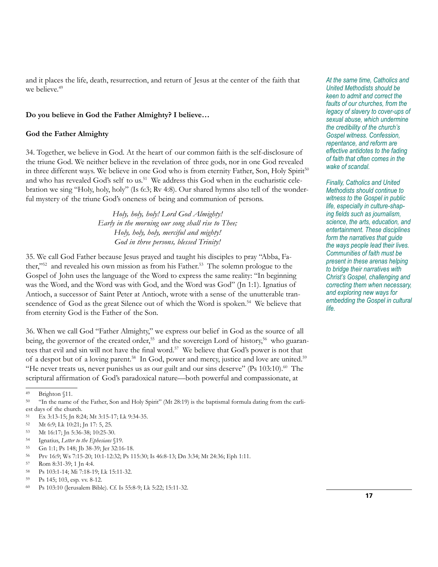and it places the life, death, resurrection, and return of Jesus at the center of the faith that we believe.<sup>49</sup>

## **Do you believe in God the Father Almighty? I believe…**

## **God the Father Almighty**

34. Together, we believe in God. At the heart of our common faith is the self-disclosure of the triune God. We neither believe in the revelation of three gods, nor in one God revealed in three different ways. We believe in one God who is from eternity Father, Son, Holy Spirit50 and who has revealed God's self to us.<sup>51</sup> We address this God when in the eucharistic celebration we sing "Holy, holy, holy" (Is 6:3; Rv 4:8). Our shared hymns also tell of the wonderful mystery of the triune God's oneness of being and communion of persons.

> *Holy, holy, holy! Lord God Almighty! Early in the morning our song shall rise to Thee; Holy, holy, holy, merciful and mighty! God in three persons, blessed Trinity!*

35. We call God Father because Jesus prayed and taught his disciples to pray "Abba, Father,"<sup>52</sup> and revealed his own mission as from his Father.<sup>53</sup> The solemn prologue to the Gospel of John uses the language of the Word to express the same reality: "In beginning was the Word, and the Word was with God, and the Word was God" (Jn 1:1). Ignatius of Antioch, a successor of Saint Peter at Antioch, wrote with a sense of the unutterable transcendence of God as the great Silence out of which the Word is spoken.<sup>54</sup> We believe that from eternity God is the Father of the Son.

36. When we call God "Father Almighty," we express our belief in God as the source of all being, the governor of the created order,<sup>55</sup> and the sovereign Lord of history,<sup>56</sup> who guarantees that evil and sin will not have the final word.<sup>57</sup> We believe that God's power is not that of a despot but of a loving parent.<sup>58</sup> In God, power and mercy, justice and love are united.<sup>59</sup> "He never treats us, never punishes us as our guilt and our sins deserve" (Ps  $103:10$ ).<sup>60</sup> The scriptural affirmation of God's paradoxical nature—both powerful and compassionate, at

<sup>58</sup> Ps 103:1-14; Mi 7:18-19; Lk 15:11-32.

*At the same time, Catholics and United Methodists should be keen to admit and correct the faults of our churches, from the legacy of slavery to cover-ups of sexual abuse, which undermine the credibility of the church's Gospel witness. Confession, repentance, and reform are effective antidotes to the fading of faith that often comes in the wake of scandal.*

*Finally, Catholics and United Methodists should continue to witness to the Gospel in public life, especially in culture-shaping fields such as journalism, science, the arts, education, and entertainment. These disciplines form the narratives that guide the ways people lead their lives. Communities of faith must be present in these arenas helping to bridge their narratives with Christ's Gospel, challenging and correcting them when necessary, and exploring new ways for embedding the Gospel in cultural life.*

 $^{49}$  Brighton §11.<br>50  $^{61}$  Fighton same

<sup>50</sup> "In the name of the Father, Son and Holy Spirit" (Mt 28:19) is the baptismal formula dating from the earliest days of the church.

<sup>51</sup> Ex 3:13-15; Jn 8:24; Mt 3:15-17; Lk 9:34-35.

<sup>52</sup> Mt 6:9; Lk 10:21; Jn 17: 5, 25.

<sup>53</sup> Mt 16:17; Jn 5:36-38; 10:25-30.

<sup>54</sup> Ignatius, *Letter to the Ephesians* §19.

<sup>55</sup> Gn 1:1; Ps 148; Jb 38-39; Jer 32:16-18.

<sup>56</sup> Prv 16:9; Ws 7:15-20; 10:1-12:32; Ps 115:30; Is 46:8-13; Dn 3:34; Mt 24:36; Eph 1:11.

<sup>57</sup> Rom 8:31-39; 1 Jn 4:4.

<sup>59</sup> Ps 145; 103, esp. vv. 8-12.

<sup>60</sup> Ps 103:10 (Jerusalem Bible). Cf. Is 55:8-9; Lk 5:22; 15:11-32.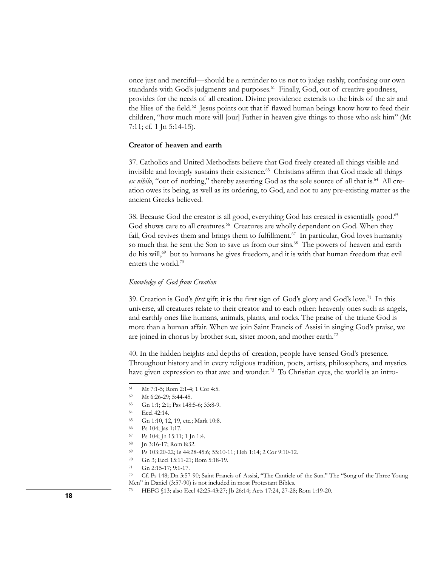once just and merciful—should be a reminder to us not to judge rashly, confusing our own standards with God's judgments and purposes.<sup>61</sup> Finally, God, out of creative goodness, provides for the needs of all creation. Divine providence extends to the birds of the air and the lilies of the field.<sup>62</sup> Jesus points out that if flawed human beings know how to feed their children, "how much more will [our] Father in heaven give things to those who ask him" (Mt 7:11; cf. 1 Jn 5:14-15).

#### **Creator of heaven and earth**

37. Catholics and United Methodists believe that God freely created all things visible and invisible and lovingly sustains their existence.<sup>63</sup> Christians affirm that God made all things *ex nihilo*, "out of nothing," thereby asserting God as the sole source of all that is.<sup>64</sup> All creation owes its being, as well as its ordering, to God, and not to any pre-existing matter as the ancient Greeks believed.

38. Because God the creator is all good, everything God has created is essentially good.65 God shows care to all creatures.<sup>66</sup> Creatures are wholly dependent on God. When they fail, God revives them and brings them to fulfillment.<sup>67</sup> In particular, God loves humanity so much that he sent the Son to save us from our sins.<sup>68</sup> The powers of heaven and earth do his will, $69$  but to humans he gives freedom, and it is with that human freedom that evil enters the world.70

#### *Knowledge of God from Creation*

39. Creation is God's *first* gift; it is the first sign of God's glory and God's love.71 In this universe, all creatures relate to their creator and to each other: heavenly ones such as angels, and earthly ones like humans, animals, plants, and rocks. The praise of the triune God is more than a human affair. When we join Saint Francis of Assisi in singing God's praise, we are joined in chorus by brother sun, sister moon, and mother earth.<sup>72</sup>

40. In the hidden heights and depths of creation, people have sensed God's presence. Throughout history and in every religious tradition, poets, artists, philosophers, and mystics have given expression to that awe and wonder.<sup>73</sup> To Christian eyes, the world is an intro-

- <sup>67</sup> Ps 104; Jn 15:11; 1 Jn 1:4.
- <sup>68</sup> Jn 3:16-17; Rom 8:32.
- <sup>69</sup> Ps 103:20-22; Is 44:28-45:6; 55:10-11; Heb 1:14; 2 Cor 9:10-12.
- <sup>70</sup> Gn 3; Eccl 15:11-21; Rom 5:18-19.

<sup>61</sup> Mt 7:1-5; Rom 2:1-4; 1 Cor 4:5.

<sup>62</sup> Mt 6:26-29; 5:44-45.

<sup>63</sup> Gn 1:1; 2:1; Pss 148:5-6; 33:8-9.

<sup>64</sup> Eccl 42:14.

<sup>65</sup> Gn 1:10, 12, 19, etc.; Mark 10:8.

<sup>66</sup> Ps 104; Jas 1:17.

<sup>71</sup> Gn 2:15-17; 9:1-17.

<sup>72</sup> Cf. Ps 148; Dn 3:57-90; Saint Francis of Assisi, "The Canticle of the Sun." The "Song of the Three Young Men" in Daniel (3:57-90) is not included in most Protestant Bibles.

<sup>73</sup> HEFG §13; also Eccl 42:25-43:27; Jb 26:14; Acts 17:24, 27-28; Rom 1:19-20. **<sup>18</sup>**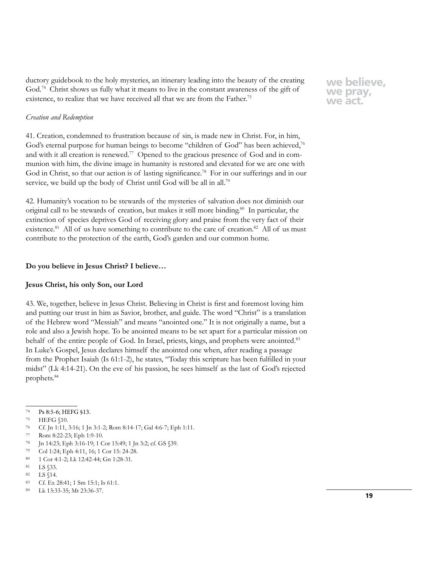ductory guidebook to the holy mysteries, an itinerary leading into the beauty of the creating God.74 Christ shows us fully what it means to live in the constant awareness of the gift of existence, to realize that we have received all that we are from the Father.<sup>75</sup>

## *Creation and Redemption*

41. Creation, condemned to frustration because of sin, is made new in Christ. For, in him, God's eternal purpose for human beings to become "children of God" has been achieved,<sup>76</sup> and with it all creation is renewed.<sup>77</sup> Opened to the gracious presence of God and in communion with him, the divine image in humanity is restored and elevated for we are one with God in Christ, so that our action is of lasting significance.<sup>78</sup> For in our sufferings and in our service, we build up the body of Christ until God will be all in all.<sup>79</sup>

42. Humanity's vocation to be stewards of the mysteries of salvation does not diminish our original call to be stewards of creation, but makes it still more binding.<sup>80</sup> In particular, the extinction of species deprives God of receiving glory and praise from the very fact of their existence.<sup>81</sup> All of us have something to contribute to the care of creation.<sup>82</sup> All of us must contribute to the protection of the earth, God's garden and our common home.

## **Do you believe in Jesus Christ? I believe…**

#### **Jesus Christ, his only Son, our Lord**

43. We, together, believe in Jesus Christ. Believing in Christ is first and foremost loving him and putting our trust in him as Savior, brother, and guide. The word "Christ" is a translation of the Hebrew word "Messiah" and means "anointed one." It is not originally a name, but a role and also a Jewish hope. To be anointed means to be set apart for a particular mission on behalf of the entire people of God. In Israel, priests, kings, and prophets were anointed.<sup>83</sup> In Luke's Gospel, Jesus declares himself the anointed one when, after reading a passage from the Prophet Isaiah (Is 61:1-2), he states, "Today this scripture has been fulfilled in your midst" (Lk 4:14-21). On the eve of his passion, he sees himself as the last of God's rejected prophets.84

- <sup>75</sup> HEFG §10.
- <sup>76</sup> Cf. Jn 1:11, 3:16; 1 Jn 3:1-2; Rom 8:14-17; Gal 4:6-7; Eph 1:11.
- <sup>77</sup> Rom 8:22-23; Eph 1:9-10.
- <sup>78</sup> Jn 14:23; Eph 3:16-19; 1 Cor 15:49; 1 Jn 3:2; cf. GS §39.
- <sup>79</sup> Col 1:24; Eph 4:11, 16; 1 Cor 15: 24-28.
- <sup>80</sup> 1 Cor 4:1-2; Lk 12:42-44; Gn 1:28-31.
- <sup>81</sup> LS §33.
- <sup>82</sup> LS §14.
- <sup>83</sup> Cf. Ex 28:41; 1 Sm 15:1; Is 61:1.
- <sup>84</sup> Lk 13:33-35; Mt 23:36-37.

<sup>74</sup> Ps 8:5-6; HEFG §13.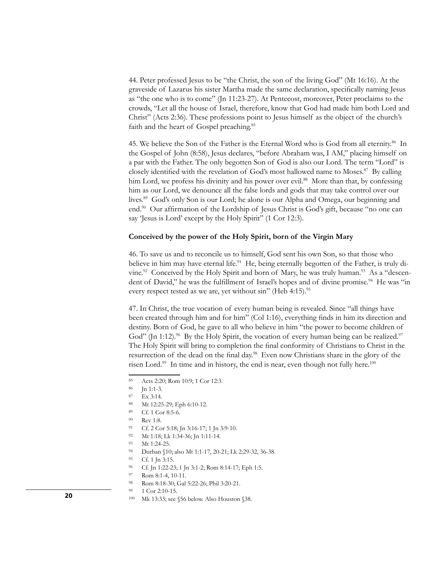44. Peter professed Jesus to be "the Christ, the son of the living God" (Mt 16:16). At the graveside of Lazarus his sister Martha made the same declaration, specifically naming Jesus as "the one who is to come" (Jn 11:23-27). At Pentecost, moreover, Peter proclaims to the crowds, "Let all the house of Israel, therefore, know that God had made him both Lord and Christ" (Acts 2:36). These professions point to Jesus himself as the object of the church's faith and the heart of Gospel preaching.<sup>85</sup>

45. We believe the Son of the Father is the Eternal Word who is God from all eternity.<sup>86</sup> In the Gospel of John (8:58), Jesus declares, "before Abraham was, I AM," placing himself on a par with the Father. The only begotten Son of God is also our Lord. The term "Lord" is closely identified with the revelation of God's most hallowed name to Moses.<sup>87</sup> By calling him Lord, we profess his divinity and his power over evil.<sup>88</sup> More than that, by confessing him as our Lord, we denounce all the false lords and gods that may take control over our lives.89 God's only Son is our Lord; he alone is our Alpha and Omega, our beginning and end.90 Our affirmation of the Lordship of Jesus Christ is God's gift, because "no one can say 'Jesus is Lord' except by the Holy Spirit" (1 Cor 12:3).

#### **Conceived by the power of the Holy Spirit, born of the Virgin Mary**

46. To save us and to reconcile us to himself, God sent his own Son, so that those who believe in him may have eternal life.<sup>91</sup> He, being eternally begotten of the Father, is truly divine.<sup>92</sup> Conceived by the Holy Spirit and born of Mary, he was truly human.<sup>93</sup> As a "descendent of David," he was the fulfillment of Israel's hopes and of divine promise.<sup>94</sup> He was "in every respect tested as we are, yet without sin" (Heb 4:15).<sup>95</sup>

47. In Christ, the true vocation of every human being is revealed. Since "all things have been created through him and for him" (Col 1:16), everything finds in him its direction and destiny. Born of God, he gave to all who believe in him "the power to become children of God" (Jn 1:12).<sup>96</sup> By the Holy Spirit, the vocation of every human being can be realized.<sup>97</sup> The Holy Spirit will bring to completion the final conformity of Christians to Christ in the resurrection of the dead on the final day.98 Even now Christians share in the glory of the risen Lord.<sup>99</sup> In time and in history, the end is near, even though not fully here.<sup>100</sup>

<sup>92</sup> Mt 1:18; Lk 1:34-36; Jn 1:11-14.

**20 100 100 100 100 100 100 100 2.10-15. 2.6 2.10-15. 2.6 2.10-15.** 

<sup>85</sup> Acts 2:20; Rom 10:9; 1 Cor 12:3.

<sup>86</sup> Jn 1:1-3.

<sup>87</sup> Ex 3:14.

<sup>88</sup> Mt 12:25-29; Eph 6:10-12.

<sup>89</sup> Cf. 1 Cor 8:5-6.

<sup>90</sup> Rev 1:8.

<sup>91</sup> Cf. 2 Cor 5:18; Jn 3:16-17; 1 Jn 3:9-10.

<sup>93</sup> Mt 1:24-25.

<sup>94</sup> Durban §10; also Mt 1:1-17, 20-21; Lk 2:29-32, 36-38.

<sup>95</sup> Cf. 1 Jn 3:15.

<sup>96</sup> Cf. Jn 1:22-23; 1 Jn 3:1-2; Rom 8:14-17; Eph 1:5.

<sup>97</sup> Rom 8:1-4, 10-11.

<sup>98</sup> Rom 8:18-30; Gal 5:22-26; Phil 3:20-21.

<sup>99 1</sup> Cor 2:10-15.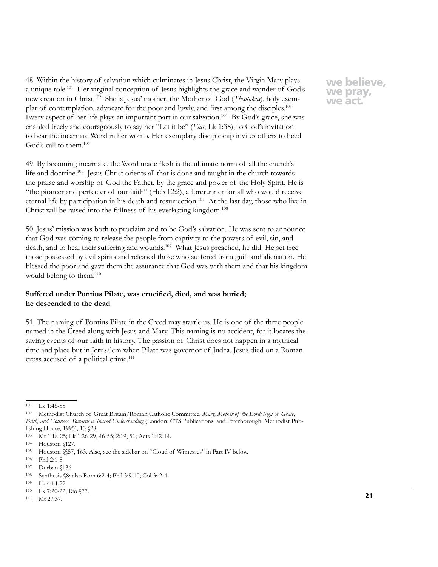48. Within the history of salvation which culminates in Jesus Christ, the Virgin Mary plays a unique role.101 Her virginal conception of Jesus highlights the grace and wonder of God's new creation in Christ.102 She is Jesus' mother, the Mother of God (*Theotokos*), holy exemplar of contemplation, advocate for the poor and lowly, and first among the disciples.<sup>103</sup> Every aspect of her life plays an important part in our salvation.<sup>104</sup> By God's grace, she was enabled freely and courageously to say her "Let it be" (*Fiat*; Lk 1:38), to God's invitation to bear the incarnate Word in her womb. Her exemplary discipleship invites others to heed God's call to them.105

49. By becoming incarnate, the Word made flesh is the ultimate norm of all the church's life and doctrine.<sup>106</sup> Jesus Christ orients all that is done and taught in the church towards the praise and worship of God the Father, by the grace and power of the Holy Spirit. He is "the pioneer and perfecter of our faith" (Heb 12:2), a forerunner for all who would receive eternal life by participation in his death and resurrection.<sup>107</sup> At the last day, those who live in Christ will be raised into the fullness of his everlasting kingdom.<sup>108</sup>

50. Jesus' mission was both to proclaim and to be God's salvation. He was sent to announce that God was coming to release the people from captivity to the powers of evil, sin, and death, and to heal their suffering and wounds.<sup>109</sup> What Jesus preached, he did. He set free those possessed by evil spirits and released those who suffered from guilt and alienation. He blessed the poor and gave them the assurance that God was with them and that his kingdom would belong to them.<sup>110</sup>

## **Suffered under Pontius Pilate, was crucified, died, and was buried; he descended to the dead**

51. The naming of Pontius Pilate in the Creed may startle us. He is one of the three people named in the Creed along with Jesus and Mary. This naming is no accident, for it locates the saving events of our faith in history. The passion of Christ does not happen in a mythical time and place but in Jerusalem when Pilate was governor of Judea. Jesus died on a Roman cross accused of a political crime.<sup>111</sup>

<sup>101</sup> Lk 1:46-55.

<sup>102</sup> Methodist Church of Great Britain/Roman Catholic Committee, *Mary, Mother of the Lord: Sign of Grace, Faith, and Holiness. Towards a Shared Understanding* (London: CTS Publications; and Peterborough: Methodist Publishing House, 1995), 13 §28.

<sup>103</sup> Mt 1:18-25; Lk 1:26-29, 46-55; 2:19, 51; Acts 1:12-14.

<sup>104</sup> Houston §127.

<sup>105</sup> Houston §§57, 163. Also, see the sidebar on "Cloud of Witnesses" in Part IV below.

<sup>106</sup> Phil 2:1-8.

<sup>107</sup> Durban §136.

<sup>108</sup> Synthesis §8; also Rom 6:2-4; Phil 3:9-10; Col 3: 2-4.

<sup>109</sup> Lk 4:14-22.

<sup>110</sup> Lk 7:20-22; Rio §77.

<sup>111</sup> Mt 27:37.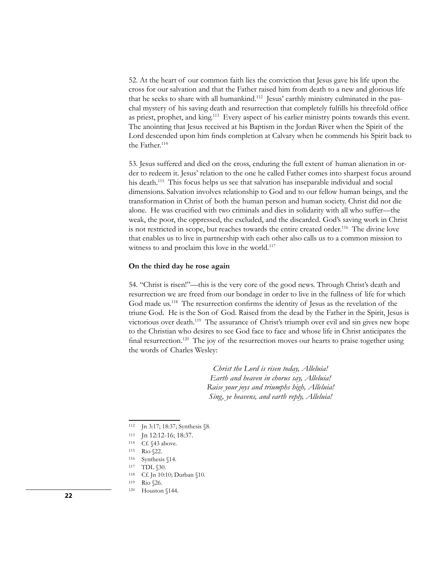52. At the heart of our common faith lies the conviction that Jesus gave his life upon the cross for our salvation and that the Father raised him from death to a new and glorious life that he seeks to share with all humankind.<sup>112</sup> Jesus' earthly ministry culminated in the paschal mystery of his saving death and resurrection that completely fulfills his threefold office as priest, prophet, and king.<sup>113</sup> Every aspect of his earlier ministry points towards this event. The anointing that Jesus received at his Baptism in the Jordan River when the Spirit of the Lord descended upon him finds completion at Calvary when he commends his Spirit back to the Father.<sup>114</sup>

53. Jesus suffered and died on the cross, enduring the full extent of human alienation in order to redeem it. Jesus' relation to the one he called Father comes into sharpest focus around his death.<sup>115</sup> This focus helps us see that salvation has inseparable individual and social dimensions. Salvation involves relationship to God and to our fellow human beings, and the transformation in Christ of both the human person and human society. Christ did not die alone. He was crucified with two criminals and dies in solidarity with all who suffer—the weak, the poor, the oppressed, the excluded, and the discarded. God's saving work in Christ is not restricted in scope, but reaches towards the entire created order.116 The divine love that enables us to live in partnership with each other also calls us to a common mission to witness to and proclaim this love in the world.<sup>117</sup>

#### **On the third day he rose again**

54. "Christ is risen!"—this is the very core of the good news. Through Christ's death and resurrection we are freed from our bondage in order to live in the fullness of life for which God made us.118 The resurrection confirms the identity of Jesus as the revelation of the triune God. He is the Son of God. Raised from the dead by the Father in the Spirit, Jesus is victorious over death.119 The assurance of Christ's triumph over evil and sin gives new hope to the Christian who desires to see God face to face and whose life in Christ anticipates the final resurrection.<sup>120</sup> The joy of the resurrection moves our hearts to praise together using the words of Charles Wesley:

> *Christ the Lord is risen today, Alleluia! Earth and heaven in chorus say, Alleluia! Raise your joys and triumphs high, Alleluia! Sing, ye heavens, and earth reply, Alleluia!*

<sup>112</sup> Jn 3:17; 18:37; Synthesis §8.

<sup>113</sup> Jn 12:12-16; 18:37.

<sup>114</sup> Cf. §43 above.

<sup>115</sup> Rio §22.

<sup>116</sup> Synthesis §14.

<sup>117</sup> TDL  $$30.$ 

<sup>118</sup> Cf. Jn 10:10; Durban §10.

<sup>119</sup> Rio §26.

**<sup>22</sup>** <sup>120</sup> Houston §144.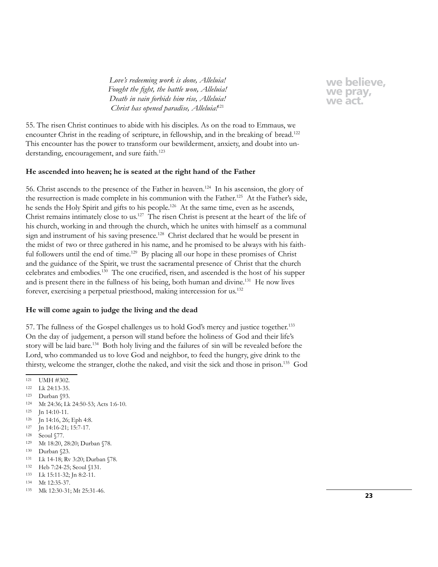*Love's redeeming work is done, Alleluia! Fought the fight, the battle won, Alleluia! Death in vain forbids him rise, Alleluia! Christ has opened paradise, Alleluia!*<sup>121</sup>

**we believe, we pray, we act.**

55. The risen Christ continues to abide with his disciples. As on the road to Emmaus, we encounter Christ in the reading of scripture, in fellowship, and in the breaking of bread.<sup>122</sup> This encounter has the power to transform our bewilderment, anxiety, and doubt into understanding, encouragement, and sure faith.<sup>123</sup>

## **He ascended into heaven; he is seated at the right hand of the Father**

56. Christ ascends to the presence of the Father in heaven.124 In his ascension, the glory of the resurrection is made complete in his communion with the Father.<sup>125</sup> At the Father's side, he sends the Holy Spirit and gifts to his people.<sup>126</sup> At the same time, even as he ascends, Christ remains intimately close to us.127 The risen Christ is present at the heart of the life of his church, working in and through the church, which he unites with himself as a communal sign and instrument of his saving presence.<sup>128</sup> Christ declared that he would be present in the midst of two or three gathered in his name, and he promised to be always with his faithful followers until the end of time.<sup>129</sup> By placing all our hope in these promises of Christ and the guidance of the Spirit, we trust the sacramental presence of Christ that the church celebrates and embodies.130 The one crucified, risen, and ascended is the host of his supper and is present there in the fullness of his being, both human and divine.131 He now lives forever, exercising a perpetual priesthood, making intercession for us.132

#### **He will come again to judge the living and the dead**

57. The fullness of the Gospel challenges us to hold God's mercy and justice together.133 On the day of judgement, a person will stand before the holiness of God and their life's story will be laid bare.134 Both holy living and the failures of sin will be revealed before the Lord, who commanded us to love God and neighbor, to feed the hungry, give drink to the thirsty, welcome the stranger, clothe the naked, and visit the sick and those in prison.135 God

- <sup>122</sup> Lk 24:13-35.
- <sup>123</sup> Durban §93.
- <sup>124</sup> Mt 24:36; Lk 24:50-53; Acts 1:6-10.
- <sup>125</sup> Jn 14:10-11.
- <sup>126</sup> Jn 14:16, 26; Eph 4:8.
- <sup>127</sup> Jn 14:16-21; 15:7-17.
- 128 Seoul §77.
- <sup>129</sup> Mt 18:20, 28:20; Durban §78.
- <sup>130</sup> Durban §23.
- <sup>131</sup> Lk 14-18; Rv 3:20; Durban §78.
- <sup>132</sup> Heb 7:24-25; Seoul §131.
- <sup>133</sup> Lk 15:11-32; Jn 8:2-11.
- <sup>134</sup> Mt 12:35-37.
- <sup>135</sup> Mk 12:30-31; Mt 25:31-46.

<sup>121</sup> UMH #302.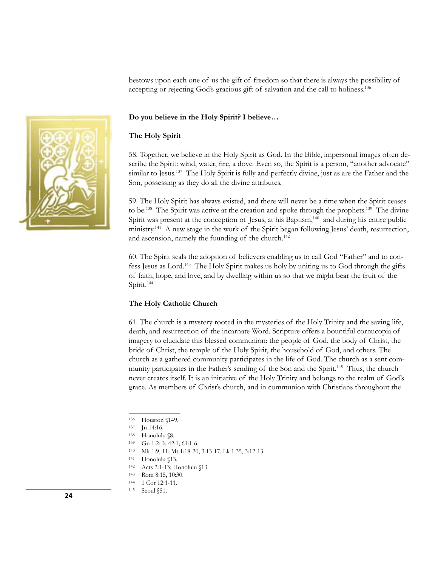bestows upon each one of us the gift of freedom so that there is always the possibility of accepting or rejecting God's gracious gift of salvation and the call to holiness.136



## **Do you believe in the Holy Spirit? I believe…**

#### **The Holy Spirit**

58. Together, we believe in the Holy Spirit as God. In the Bible, impersonal images often describe the Spirit: wind, water, fire, a dove. Even so, the Spirit is a person, "another advocate" similar to Jesus.<sup>137</sup> The Holy Spirit is fully and perfectly divine, just as are the Father and the Son, possessing as they do all the divine attributes.

59. The Holy Spirit has always existed, and there will never be a time when the Spirit ceases to be.<sup>138</sup> The Spirit was active at the creation and spoke through the prophets.<sup>139</sup> The divine Spirit was present at the conception of Jesus, at his Baptism,<sup>140</sup> and during his entire public ministry.<sup>141</sup> A new stage in the work of the Spirit began following Jesus' death, resurrection, and ascension, namely the founding of the church.<sup>142</sup>

60. The Spirit seals the adoption of believers enabling us to call God "Father" and to confess Jesus as Lord.143 The Holy Spirit makes us holy by uniting us to God through the gifts of faith, hope, and love, and by dwelling within us so that we might bear the fruit of the Spirit.<sup>144</sup>

#### **The Holy Catholic Church**

61. The church is a mystery rooted in the mysteries of the Holy Trinity and the saving life, death, and resurrection of the incarnate Word. Scripture offers a bountiful cornucopia of imagery to elucidate this blessed communion: the people of God, the body of Christ, the bride of Christ, the temple of the Holy Spirit, the household of God, and others. The church as a gathered community participates in the life of God. The church as a sent community participates in the Father's sending of the Son and the Spirit.145 Thus, the church never creates itself. It is an initiative of the Holy Trinity and belongs to the realm of God's grace. As members of Christ's church, and in communion with Christians throughout the

<sup>136</sup> Houston §149.

<sup>137</sup> Jn 14:16.

<sup>138</sup> Honolulu §8.

<sup>139</sup> Gn 1:2; Is 42:1; 61:1-6.

<sup>140</sup> Mk 1:9, 11; Mt 1:18-20, 3:13-17; Lk 1:35, 3:12-13.

<sup>141</sup> Honolulu §13.

<sup>142</sup> Acts 2:1-13; Honolulu §13.

<sup>143</sup> Rom 8:15, 10:30.

<sup>144</sup> 1 Cor 12:1-11.

**<sup>24</sup>** 145 Seoul §51.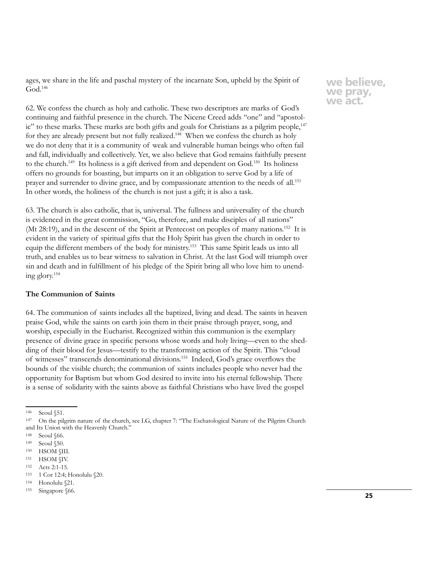ages, we share in the life and paschal mystery of the incarnate Son, upheld by the Spirit of God.146

62. We confess the church as holy and catholic. These two descriptors are marks of God's continuing and faithful presence in the church. The Nicene Creed adds "one" and "apostol $ic$ " to these marks. These marks are both gifts and goals for Christians as a pilgrim people, $147$ for they are already present but not fully realized.<sup>148</sup> When we confess the church as holy we do not deny that it is a community of weak and vulnerable human beings who often fail and fall, individually and collectively. Yet, we also believe that God remains faithfully present to the church.<sup>149</sup> Its holiness is a gift derived from and dependent on God.<sup>150</sup> Its holiness offers no grounds for boasting, but imparts on it an obligation to serve God by a life of prayer and surrender to divine grace, and by compassionate attention to the needs of all.151 In other words, the holiness of the church is not just a gift; it is also a task.

63. The church is also catholic, that is, universal. The fullness and universality of the church is evidenced in the great commission, "Go, therefore, and make disciples of all nations" (Mt 28:19), and in the descent of the Spirit at Pentecost on peoples of many nations.<sup>152</sup> It is evident in the variety of spiritual gifts that the Holy Spirit has given the church in order to equip the different members of the body for ministry.153 This same Spirit leads us into all truth, and enables us to bear witness to salvation in Christ. At the last God will triumph over sin and death and in fulfillment of his pledge of the Spirit bring all who love him to unending glory.154

## **The Communion of Saints**

64. The communion of saints includes all the baptized, living and dead. The saints in heaven praise God, while the saints on earth join them in their praise through prayer, song, and worship, especially in the Eucharist. Recognized within this communion is the exemplary presence of divine grace in specific persons whose words and holy living—even to the shedding of their blood for Jesus—testify to the transforming action of the Spirit. This "cloud of witnesses" transcends denominational divisions.155 Indeed, God's grace overflows the bounds of the visible church; the communion of saints includes people who never had the opportunity for Baptism but whom God desired to invite into his eternal fellowship. There is a sense of solidarity with the saints above as faithful Christians who have lived the gospel

<sup>146</sup> Seoul §51.

<sup>147</sup> On the pilgrim nature of the church, see LG, chapter 7: "The Eschatological Nature of the Pilgrim Church and Its Union with the Heavenly Church."

<sup>148</sup> Seoul §66.

<sup>149</sup> Seoul §50.

<sup>150</sup> HSOM §III.

<sup>151</sup> HSOM §IV.

<sup>152</sup> Acts 2:1-15.

<sup>153</sup> 1 Cor 12:4; Honolulu §20.

<sup>154</sup> Honolulu §21.

<sup>155</sup> Singapore §66.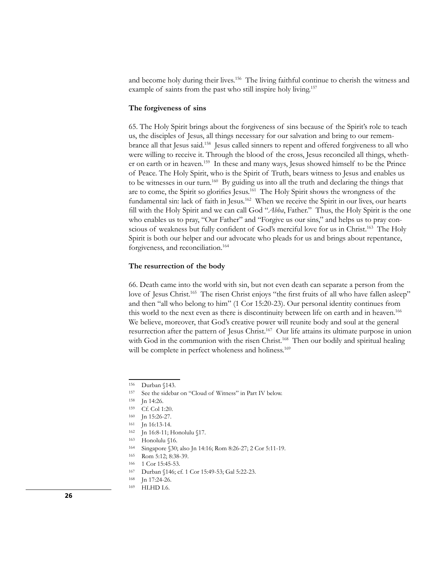and become holy during their lives.<sup>156</sup> The living faithful continue to cherish the witness and example of saints from the past who still inspire holy living.<sup>157</sup>

#### **The forgiveness of sins**

65. The Holy Spirit brings about the forgiveness of sins because of the Spirit's role to teach us, the disciples of Jesus, all things necessary for our salvation and bring to our remembrance all that Jesus said.158 Jesus called sinners to repent and offered forgiveness to all who were willing to receive it. Through the blood of the cross, Jesus reconciled all things, whether on earth or in heaven.159 In these and many ways, Jesus showed himself to be the Prince of Peace. The Holy Spirit, who is the Spirit of Truth, bears witness to Jesus and enables us to be witnesses in our turn.<sup>160</sup> By guiding us into all the truth and declaring the things that are to come, the Spirit so glorifies Jesus.161 The Holy Spirit shows the wrongness of the fundamental sin: lack of faith in Jesus.<sup>162</sup> When we receive the Spirit in our lives, our hearts fill with the Holy Spirit and we can call God "*Abba*, Father." Thus, the Holy Spirit is the one who enables us to pray, "Our Father" and "Forgive us our sins," and helps us to pray conscious of weakness but fully confident of God's merciful love for us in Christ.<sup>163</sup> The Holy Spirit is both our helper and our advocate who pleads for us and brings about repentance, forgiveness, and reconciliation.<sup>164</sup>

#### **The resurrection of the body**

66. Death came into the world with sin, but not even death can separate a person from the love of Jesus Christ.<sup>165</sup> The risen Christ enjoys "the first fruits of all who have fallen asleep" and then "all who belong to him" (1 Cor 15:20-23). Our personal identity continues from this world to the next even as there is discontinuity between life on earth and in heaven.166 We believe, moreover, that God's creative power will reunite body and soul at the general resurrection after the pattern of Jesus Christ.167 Our life attains its ultimate purpose in union with God in the communion with the risen Christ.<sup>168</sup> Then our bodily and spiritual healing will be complete in perfect wholeness and holiness.<sup>169</sup>

<sup>156</sup> Durban §143.

<sup>157</sup> See the sidebar on "Cloud of Witness" in Part IV below.

<sup>158</sup> Jn 14:26.

<sup>159</sup> Cf. Col 1:20.

<sup>160</sup> Jn 15:26-27.

<sup>161</sup> Jn 16:13-14.

<sup>162</sup> Jn 16:8-11; Honolulu §17.

<sup>163</sup> Honolulu §16.

<sup>164</sup> Singapore §30; also Jn 14:16; Rom 8:26-27; 2 Cor 5:11-19.

<sup>165</sup> Rom 5:12; 8:38-39.

<sup>166 1</sup> Cor 15:45-53.

<sup>167</sup> Durban §146; cf. 1 Cor 15:49-53; Gal 5:22-23.

<sup>168</sup> Jn 17:24-26.

<sup>169</sup> HLHD I.6.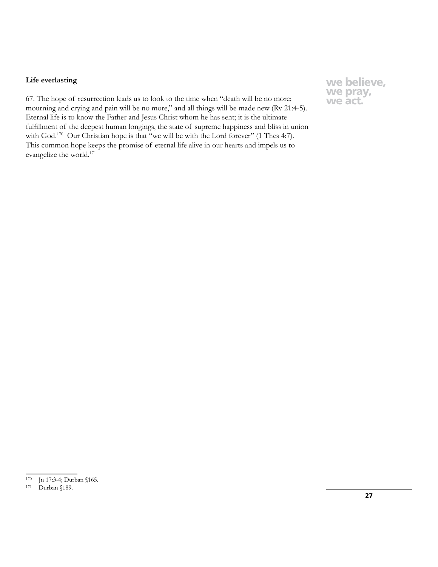## **Life everlasting**

67. The hope of resurrection leads us to look to the time when "death will be no more; mourning and crying and pain will be no more," and all things will be made new (Rv 21:4-5). Eternal life is to know the Father and Jesus Christ whom he has sent; it is the ultimate fulfillment of the deepest human longings, the state of supreme happiness and bliss in union with God.<sup>170</sup> Our Christian hope is that "we will be with the Lord forever" (1 Thes 4:7). This common hope keeps the promise of eternal life alive in our hearts and impels us to evangelize the world.171

<sup>170</sup> Jn 17:3-4; Durban §165.

<sup>171</sup> Durban §189.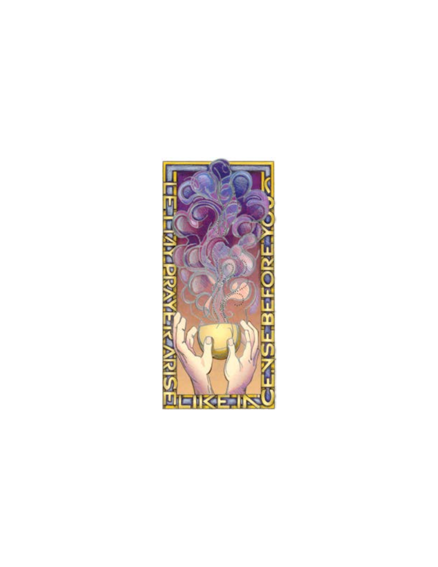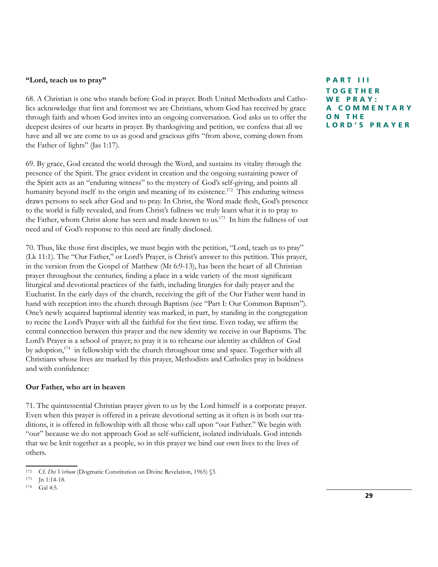## **"Lord, teach us to pray"**

68. A Christian is one who stands before God in prayer. Both United Methodists and Catholics acknowledge that first and foremost we are Christians, whom God has received by grace through faith and whom God invites into an ongoing conversation. God asks us to offer the deepest desires of our hearts in prayer. By thanksgiving and petition, we confess that all we have and all we are come to us as good and gracious gifts "from above, coming down from the Father of lights" (Jas 1:17).

69. By grace, God created the world through the Word, and sustains its vitality through the presence of the Spirit. The grace evident in creation and the ongoing sustaining power of the Spirit acts as an "enduring witness" to the mystery of God's self-giving, and points all humanity beyond itself to the origin and meaning of its existence.<sup>172</sup> This enduring witness draws persons to seek after God and to pray. In Christ, the Word made flesh, God's presence to the world is fully revealed, and from Christ's fullness we truly learn what it is to pray to the Father, whom Christ alone has seen and made known to us.<sup>173</sup> In him the fullness of our need and of God's response to this need are finally disclosed.

70. Thus, like those first disciples, we must begin with the petition, "Lord, teach us to pray" (Lk 11:1). The "Our Father," or Lord's Prayer, is Christ's answer to this petition. This prayer, in the version from the Gospel of Matthew (Mt 6:9-13), has been the heart of all Christian prayer throughout the centuries, finding a place in a wide variety of the most significant liturgical and devotional practices of the faith, including liturgies for daily prayer and the Eucharist. In the early days of the church, receiving the gift of the Our Father went hand in hand with reception into the church through Baptism (see "Part I: Our Common Baptism"). One's newly acquired baptismal identity was marked, in part, by standing in the congregation to recite the Lord's Prayer with all the faithful for the first time. Even today, we affirm the central connection between this prayer and the new identity we receive in our Baptisms. The Lord's Prayer is a school of prayer; to pray it is to rehearse our identity as children of God by adoption,<sup>174</sup> in fellowship with the church throughout time and space. Together with all Christians whose lives are marked by this prayer, Methodists and Catholics pray in boldness and with confidence:

#### **Our Father, who art in heaven**

71. The quintessential Christian prayer given to us by the Lord himself is a corporate prayer. Even when this prayer is offered in a private devotional setting as it often is in both our traditions, it is offered in fellowship with all those who call upon "our Father." We begin with "our" because we do not approach God as self-sufficient, isolated individuals. God intends that we be knit together as a people, so in this prayer we bind our own lives to the lives of others.

**PART III TOGETHER WE PRAY: A C O M M E N T A R Y O N T H E LORD'S PRAYER**

<sup>172</sup> Cf. *Dei Verbum* (Dogmatic Constitution on Divine Revelation, 1965) §3.

<sup>173</sup> **Jn 1:14-18.** 

<sup>174</sup> Gal 4:5.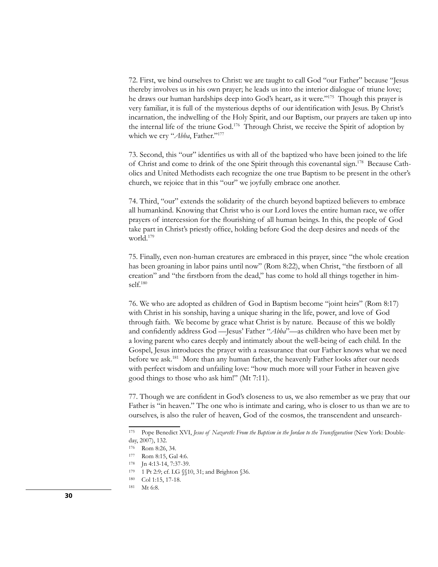72. First, we bind ourselves to Christ: we are taught to call God "our Father" because "Jesus thereby involves us in his own prayer; he leads us into the interior dialogue of triune love; he draws our human hardships deep into God's heart, as it were."175 Though this prayer is very familiar, it is full of the mysterious depths of our identification with Jesus. By Christ's incarnation, the indwelling of the Holy Spirit, and our Baptism, our prayers are taken up into the internal life of the triune God.176 Through Christ, we receive the Spirit of adoption by which we cry "*Abba*, Father."<sup>177</sup>

73. Second, this "our" identifies us with all of the baptized who have been joined to the life of Christ and come to drink of the one Spirit through this covenantal sign.178 Because Catholics and United Methodists each recognize the one true Baptism to be present in the other's church, we rejoice that in this "our" we joyfully embrace one another.

74. Third, "our" extends the solidarity of the church beyond baptized believers to embrace all humankind. Knowing that Christ who is our Lord loves the entire human race, we offer prayers of intercession for the flourishing of all human beings. In this, the people of God take part in Christ's priestly office, holding before God the deep desires and needs of the world.179

75. Finally, even non-human creatures are embraced in this prayer, since "the whole creation has been groaning in labor pains until now" (Rom 8:22), when Christ, "the firstborn of all creation" and "the firstborn from the dead," has come to hold all things together in himself.180

76. We who are adopted as children of God in Baptism become "joint heirs" (Rom 8:17) with Christ in his sonship, having a unique sharing in the life, power, and love of God through faith. We become by grace what Christ is by nature. Because of this we boldly and confidently address God —Jesus' Father "*Abba*"—as children who have been met by a loving parent who cares deeply and intimately about the well-being of each child. In the Gospel, Jesus introduces the prayer with a reassurance that our Father knows what we need before we ask.<sup>181</sup> More than any human father, the heavenly Father looks after our needs with perfect wisdom and unfailing love: "how much more will your Father in heaven give good things to those who ask him!" (Mt 7:11).

77. Though we are confident in God's closeness to us, we also remember as we pray that our Father is "in heaven." The one who is intimate and caring, who is closer to us than we are to ourselves, is also the ruler of heaven, God of the cosmos, the transcendent and unsearch-

<sup>175</sup> Pope Benedict XVI, *Jesus of Nazareth: From the Baptism in the Jordan to the Transfiguration* (New York: Doubleday, 2007), 132.

<sup>176</sup> Rom 8:26, 34.

<sup>177</sup> Rom 8:15, Gal 4:6.

<sup>178</sup> Jn 4:13-14, 7:37-39.

<sup>179 1</sup> Pt 2:9; cf. LG §§10, 31; and Brighton §36.

<sup>180</sup> Col 1:15, 17-18.

<sup>181</sup> Mt 6:8.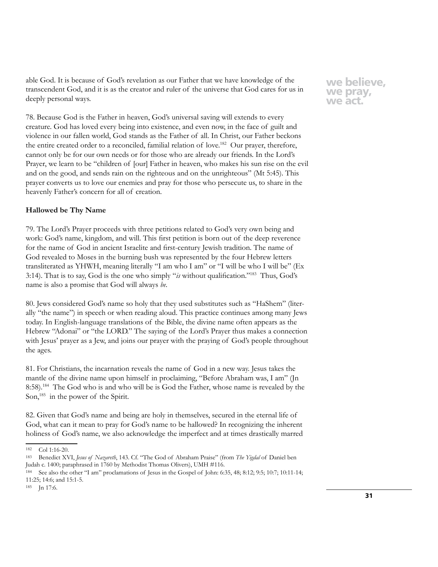able God. It is because of God's revelation as our Father that we have knowledge of the transcendent God, and it is as the creator and ruler of the universe that God cares for us in deeply personal ways.

78. Because God is the Father in heaven, God's universal saving will extends to every creature. God has loved every being into existence, and even now, in the face of guilt and violence in our fallen world, God stands as the Father of all. In Christ, our Father beckons the entire created order to a reconciled, familial relation of love.<sup>182</sup> Our prayer, therefore, cannot only be for our own needs or for those who are already our friends. In the Lord's Prayer, we learn to be "children of [our] Father in heaven, who makes his sun rise on the evil and on the good, and sends rain on the righteous and on the unrighteous" (Mt 5:45). This prayer converts us to love our enemies and pray for those who persecute us, to share in the heavenly Father's concern for all of creation.

## **Hallowed be Thy Name**

79. The Lord's Prayer proceeds with three petitions related to God's very own being and work: God's name, kingdom, and will. This first petition is born out of the deep reverence for the name of God in ancient Israelite and first-century Jewish tradition. The name of God revealed to Moses in the burning bush was represented by the four Hebrew letters transliterated as YHWH, meaning literally "I am who I am" or "I will be who I will be" (Ex 3:14). That is to say, God is the one who simply "*is* without qualification."183 Thus, God's name is also a promise that God will always *be*.

80. Jews considered God's name so holy that they used substitutes such as "HaShem" (literally "the name") in speech or when reading aloud. This practice continues among many Jews today. In English-language translations of the Bible, the divine name often appears as the Hebrew "Adonai" or "the LORD." The saying of the Lord's Prayer thus makes a connection with Jesus' prayer as a Jew, and joins our prayer with the praying of God's people throughout the ages.

81. For Christians, the incarnation reveals the name of God in a new way. Jesus takes the mantle of the divine name upon himself in proclaiming, "Before Abraham was, I am" (Jn 8:58).184 The God who is and who will be is God the Father, whose name is revealed by the Son,<sup>185</sup> in the power of the Spirit.

82. Given that God's name and being are holy in themselves, secured in the eternal life of God, what can it mean to pray for God's name to be hallowed? In recognizing the inherent holiness of God's name, we also acknowledge the imperfect and at times drastically marred

<sup>182</sup> Col 1:16-20.

<sup>183</sup> Benedict XVI, *Jesus of Nazareth*, 143. Cf. "The God of Abraham Praise" (from *The Yigdal* of Daniel ben Judah c. 1400; paraphrased in 1760 by Methodist Thomas Olivers), UMH #116.

<sup>184</sup> See also the other "I am" proclamations of Jesus in the Gospel of John: 6:35, 48; 8:12; 9:5; 10:7; 10:11-14; 11:25; 14:6; and 15:1-5.

<sup>185</sup> Jn 17:6.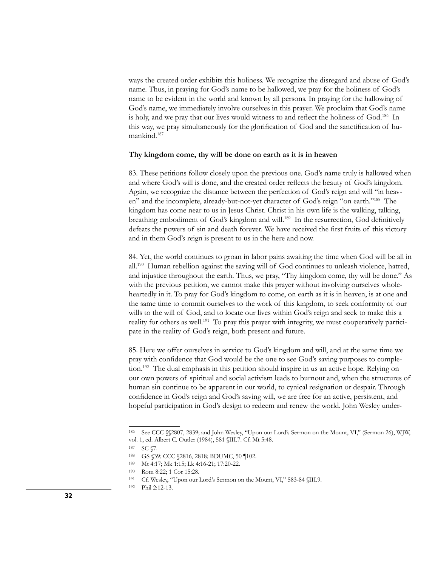ways the created order exhibits this holiness. We recognize the disregard and abuse of God's name. Thus, in praying for God's name to be hallowed, we pray for the holiness of God's name to be evident in the world and known by all persons. In praying for the hallowing of God's name, we immediately involve ourselves in this prayer. We proclaim that God's name is holy, and we pray that our lives would witness to and reflect the holiness of God.<sup>186</sup> In this way, we pray simultaneously for the glorification of God and the sanctification of humankind.<sup>187</sup>

#### **Thy kingdom come, thy will be done on earth as it is in heaven**

83. These petitions follow closely upon the previous one. God's name truly is hallowed when and where God's will is done, and the created order reflects the beauty of God's kingdom. Again, we recognize the distance between the perfection of God's reign and will "in heaven" and the incomplete, already-but-not-yet character of God's reign "on earth."188 The kingdom has come near to us in Jesus Christ. Christ in his own life is the walking, talking, breathing embodiment of God's kingdom and will.189 In the resurrection, God definitively defeats the powers of sin and death forever. We have received the first fruits of this victory and in them God's reign is present to us in the here and now.

84. Yet, the world continues to groan in labor pains awaiting the time when God will be all in all.190 Human rebellion against the saving will of God continues to unleash violence, hatred, and injustice throughout the earth. Thus, we pray, "Thy kingdom come, thy will be done." As with the previous petition, we cannot make this prayer without involving ourselves wholeheartedly in it. To pray for God's kingdom to come, on earth as it is in heaven, is at one and the same time to commit ourselves to the work of this kingdom, to seek conformity of our wills to the will of God, and to locate our lives within God's reign and seek to make this a reality for others as well.191 To pray this prayer with integrity, we must cooperatively participate in the reality of God's reign, both present and future.

85. Here we offer ourselves in service to God's kingdom and will, and at the same time we pray with confidence that God would be the one to see God's saving purposes to completion.192 The dual emphasis in this petition should inspire in us an active hope. Relying on our own powers of spiritual and social activism leads to burnout and, when the structures of human sin continue to be apparent in our world, to cynical resignation or despair. Through confidence in God's reign and God's saving will, we are free for an active, persistent, and hopeful participation in God's design to redeem and renew the world. John Wesley under-

<sup>186</sup> See CCC §§2807, 2839; and John Wesley, "Upon our Lord's Sermon on the Mount, VI," (Sermon 26), WJW, vol. 1, ed. Albert C. Outler (1984), 581 §III.7. Cf. Mt 5:48.

<sup>187</sup> SC  $$7.$ 

<sup>188</sup> GS §39; CCC §2816, 2818; BDUMC, 50 ¶102.

<sup>189</sup> Mt 4:17; Mk 1:15; Lk 4:16-21; 17:20-22.

<sup>190</sup> Rom 8:22; 1 Cor 15:28.

<sup>191</sup> Cf. Wesley, "Upon our Lord's Sermon on the Mount, VI," 583-84 §III.9.

<sup>192</sup> Phil 2:12-13.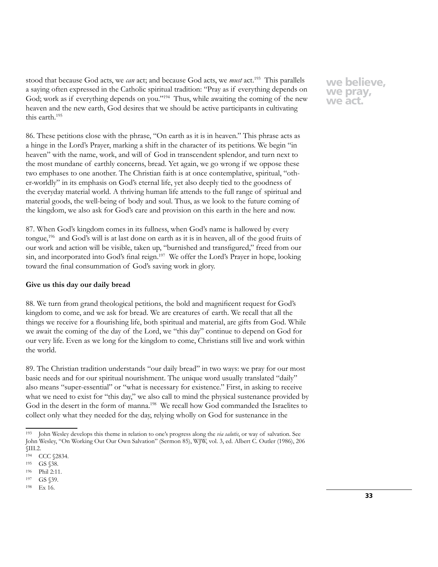stood that because God acts, we *can* act; and because God acts, we *must* act.193 This parallels a saying often expressed in the Catholic spiritual tradition: "Pray as if everything depends on God; work as if everything depends on you."<sup>194</sup> Thus, while awaiting the coming of the new heaven and the new earth, God desires that we should be active participants in cultivating this earth.195

86. These petitions close with the phrase, "On earth as it is in heaven." This phrase acts as a hinge in the Lord's Prayer, marking a shift in the character of its petitions. We begin "in heaven" with the name, work, and will of God in transcendent splendor, and turn next to the most mundane of earthly concerns, bread. Yet again, we go wrong if we oppose these two emphases to one another. The Christian faith is at once contemplative, spiritual, "other-worldly" in its emphasis on God's eternal life, yet also deeply tied to the goodness of the everyday material world. A thriving human life attends to the full range of spiritual and material goods, the well-being of body and soul. Thus, as we look to the future coming of the kingdom, we also ask for God's care and provision on this earth in the here and now.

87. When God's kingdom comes in its fullness, when God's name is hallowed by every tongue,196 and God's will is at last done on earth as it is in heaven, all of the good fruits of our work and action will be visible, taken up, "burnished and transfigured," freed from our sin, and incorporated into God's final reign.<sup>197</sup> We offer the Lord's Prayer in hope, looking toward the final consummation of God's saving work in glory.

## **Give us this day our daily bread**

88. We turn from grand theological petitions, the bold and magnificent request for God's kingdom to come, and we ask for bread. We are creatures of earth. We recall that all the things we receive for a flourishing life, both spiritual and material, are gifts from God. While we await the coming of the day of the Lord, we "this day" continue to depend on God for our very life. Even as we long for the kingdom to come, Christians still live and work within the world.

89. The Christian tradition understands "our daily bread" in two ways: we pray for our most basic needs and for our spiritual nourishment. The unique word usually translated "daily" also means "super-essential" or "what is necessary for existence." First, in asking to receive what we need to exist for "this day," we also call to mind the physical sustenance provided by God in the desert in the form of manna.<sup>198</sup> We recall how God commanded the Israelites to collect only what they needed for the day, relying wholly on God for sustenance in the

<sup>193</sup> John Wesley develops this theme in relation to one's progress along the *via salutis*, or way of salvation. See John Wesley, "On Working Out Our Own Salvation" (Sermon 85), WJW, vol. 3, ed. Albert C. Outler (1986), 206 §III.2.

<sup>194</sup> CCC §2834.

<sup>195</sup> GS §38.

<sup>196</sup> Phil 2:11.

<sup>197</sup> GS §39.

<sup>198</sup> Ex 16.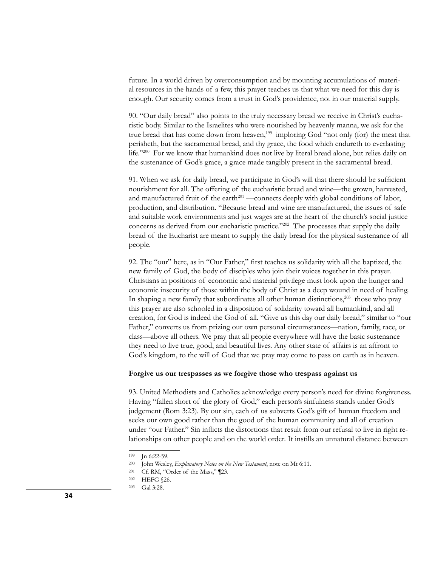future. In a world driven by overconsumption and by mounting accumulations of material resources in the hands of a few, this prayer teaches us that what we need for this day is enough. Our security comes from a trust in God's providence, not in our material supply.

90. "Our daily bread" also points to the truly necessary bread we receive in Christ's eucharistic body. Similar to the Israelites who were nourished by heavenly manna, we ask for the true bread that has come down from heaven,<sup>199</sup> imploring God "not only (for) the meat that perisheth, but the sacramental bread, and thy grace, the food which endureth to everlasting life."200 For we know that humankind does not live by literal bread alone, but relies daily on the sustenance of God's grace, a grace made tangibly present in the sacramental bread.

91. When we ask for daily bread, we participate in God's will that there should be sufficient nourishment for all. The offering of the eucharistic bread and wine—the grown, harvested, and manufactured fruit of the earth $^{201}$  —connects deeply with global conditions of labor, production, and distribution. "Because bread and wine are manufactured, the issues of safe and suitable work environments and just wages are at the heart of the church's social justice concerns as derived from our eucharistic practice."<sup>202</sup> The processes that supply the daily bread of the Eucharist are meant to supply the daily bread for the physical sustenance of all people.

92. The "our" here, as in "Our Father," first teaches us solidarity with all the baptized, the new family of God, the body of disciples who join their voices together in this prayer. Christians in positions of economic and material privilege must look upon the hunger and economic insecurity of those within the body of Christ as a deep wound in need of healing. In shaping a new family that subordinates all other human distinctions, $203$  those who pray this prayer are also schooled in a disposition of solidarity toward all humankind, and all creation, for God is indeed the God of all. "Give us this day our daily bread," similar to "our Father," converts us from prizing our own personal circumstances—nation, family, race, or class—above all others. We pray that all people everywhere will have the basic sustenance they need to live true, good, and beautiful lives. Any other state of affairs is an affront to God's kingdom, to the will of God that we pray may come to pass on earth as in heaven.

### **Forgive us our trespasses as we forgive those who trespass against us**

93. United Methodists and Catholics acknowledge every person's need for divine forgiveness. Having "fallen short of the glory of God," each person's sinfulness stands under God's judgement (Rom 3:23). By our sin, each of us subverts God's gift of human freedom and seeks our own good rather than the good of the human community and all of creation under "our Father." Sin inflicts the distortions that result from our refusal to live in right relationships on other people and on the world order. It instills an unnatural distance between

<sup>199</sup> Jn 6:22-59.

<sup>200</sup> John Wesley, *Explanatory Notes on the New Testament*, note on Mt 6:11.

<sup>201</sup> Cf. RM, "Order of the Mass," ¶23.

<sup>202</sup> HEFG §26.

<sup>203</sup> Gal 3:28.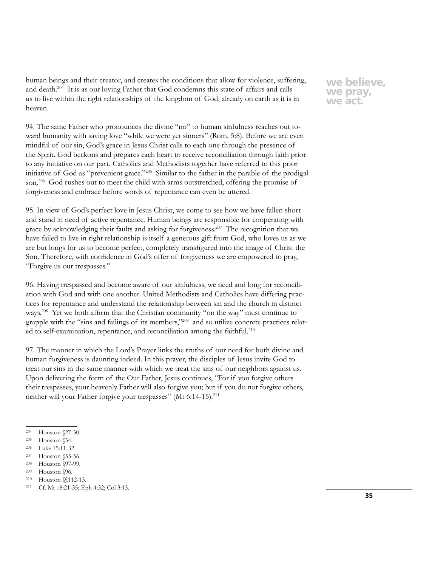human beings and their creator, and creates the conditions that allow for violence, suffering, and death.204 It is as our loving Father that God condemns this state of affairs and calls us to live within the right relationships of the kingdom of God, already on earth as it is in heaven.

94. The same Father who pronounces the divine "no" to human sinfulness reaches out toward humanity with saving love "while we were yet sinners" (Rom. 5:8). Before we are even mindful of our sin, God's grace in Jesus Christ calls to each one through the presence of the Spirit. God beckons and prepares each heart to receive reconciliation through faith prior to any initiative on our part. Catholics and Methodists together have referred to this prior initiative of God as "prevenient grace."205 Similar to the father in the parable of the prodigal son,<sup>206</sup> God rushes out to meet the child with arms outstretched, offering the promise of forgiveness and embrace before words of repentance can even be uttered.

95. In view of God's perfect love in Jesus Christ, we come to see how we have fallen short and stand in need of active repentance. Human beings are responsible for cooperating with grace by acknowledging their faults and asking for forgiveness.207 The recognition that we have failed to live in right relationship is itself a generous gift from God, who loves us as we are but longs for us to become perfect, completely transfigured into the image of Christ the Son. Therefore, with confidence in God's offer of forgiveness we are empowered to pray, "Forgive us our trespasses."

96. Having trespassed and become aware of our sinfulness, we need and long for reconciliation with God and with one another. United Methodists and Catholics have differing practices for repentance and understand the relationship between sin and the church in distinct ways.208 Yet we both affirm that the Christian community "on the way" must continue to grapple with the "sins and failings of its members,"209 and so utilize concrete practices related to self-examination, repentance, and reconciliation among the faithful.<sup>210</sup>

97. The manner in which the Lord's Prayer links the truths of our need for both divine and human forgiveness is daunting indeed. In this prayer, the disciples of Jesus invite God to treat our sins in the same manner with which we treat the sins of our neighbors against us. Upon delivering the form of the Our Father, Jesus continues, "For if you forgive others their trespasses, your heavenly Father will also forgive you; but if you do not forgive others, neither will your Father forgive your trespasses" (Mt 6:14-15).<sup>211</sup>

<sup>204</sup> Houston §27-30.

<sup>205</sup> Houston §54.

<sup>206</sup> Luke 15:11-32.

<sup>207</sup> Houston §55-56.

<sup>208</sup> Houston §97-99.

<sup>209</sup> Houston §96.

<sup>210</sup> Houston §§112-13.

<sup>211</sup> Cf. Mt 18:21-35; Eph 4:32; Col 3:13.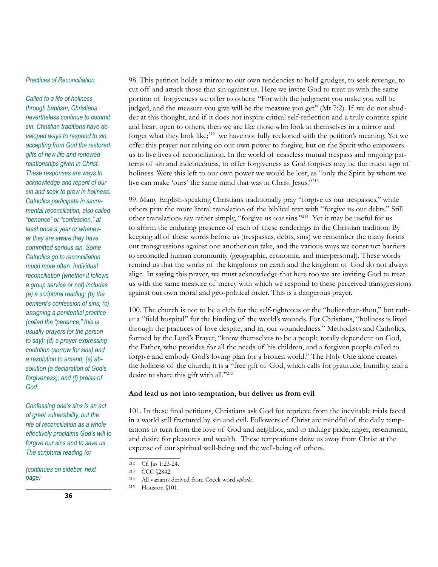## *Practices of Reconciliation*

*Called to a life of holiness through baptism, Christians nevertheless continue to commit sin. Christian traditions have developed ways to respond to sin, accepting from God the restored gifts of new life and renewed relationships given in Christ. These responses are ways to acknowledge and repent of our sin and seek to grow in holiness. Catholics participate in sacramental reconciliation, also called "penance" or "confession," at least once a year or whenever they are aware they have committed serious sin. Some Catholics go to reconciliation much more often. Individual reconciliation (whether it follows a group service or not) includes (a) a scriptural reading; (b) the penitent's confession of sins; (c) assigning a penitential practice (called the "penance," this is usually prayers for the person to say); (d) a prayer expressing contrition (sorrow for sins) and a resolution to amend; (e) absolution (a declaration of God's forgiveness); and (f) praise of God.*

*Confessing one's sins is an act of great vulnerability, but the rite of reconciliation as a whole effectively proclaims God's will to forgive our sins and to save us. The scriptural reading (or* 

*(continues on sidebar, next page)*

98. This petition holds a mirror to our own tendencies to hold grudges, to seek revenge, to cut off and attack those that sin against us. Here we invite God to treat us with the same portion of forgiveness we offer to others: "For with the judgment you make you will be judged, and the measure you give will be the measure you get" (Mt 7:2). If we do not shudder at this thought, and if it does not inspire critical self-reflection and a truly contrite spirit and heart open to others, then we are like those who look at themselves in a mirror and forget what they look like;<sup>212</sup> we have not fully reckoned with the petition's meaning. Yet we offer this prayer not relying on our own power to forgive, but on the Spirit who empowers us to live lives of reconciliation. In the world of ceaseless mutual trespass and ongoing patterns of sin and indebtedness, to offer forgiveness as God forgives may be the truest sign of holiness. Were this left to our own power we would be lost, as "only the Spirit by whom we live can make 'ours' the same mind that was in Christ Jesus."213

99. Many English-speaking Christians traditionally pray "forgive us our trespasses," while others pray the more literal translation of the biblical text with "forgive us our debts." Still other translations say rather simply, "forgive us our sins."214 Yet it may be useful for us to affirm the enduring presence of each of these renderings in the Christian tradition. By keeping all of these words before us (trespasses, debts, sins) we remember the many forms our transgressions against one another can take, and the various ways we construct barriers to reconciled human community (geographic, economic, and interpersonal). These words remind us that the works of the kingdoms on earth and the kingdom of God do not always align. In saying this prayer, we must acknowledge that here too we are inviting God to treat us with the same measure of mercy with which we respond to these perceived transgressions against our own moral and geo-political order. This is a dangerous prayer.

100. The church is not to be a club for the self-righteous or the "holier-than-thou," but rather a "field hospital" for the binding of the world's wounds. For Christians, "holiness is lived through the practices of love despite, and in, our woundedness." Methodists and Catholics, formed by the Lord's Prayer, "know themselves to be a people totally dependent on God, the Father, who provides for all the needs of his children, and a forgiven people called to forgive and embody God's loving plan for a broken world." The Holy One alone creates the holiness of the church; it is a "free gift of God, which calls for gratitude, humility, and a desire to share this gift with all."215

#### **And lead us not into temptation, but deliver us from evil**

101. In these final petitions, Christians ask God for reprieve from the inevitable trials faced in a world still fractured by sin and evil. Followers of Christ are mindful of the daily temptations to turn from the love of God and neighbor, and to indulge pride, anger, resentment, and desire for pleasures and wealth. These temptations draw us away from Christ at the expense of our spiritual well-being and the well-being of others.

<sup>212</sup> Cf. Jas 1:23-24.

<sup>213</sup> CCC §2842.

<sup>214</sup> All variants derived from Greek word *opheilo*.

<sup>215</sup> Houston §101.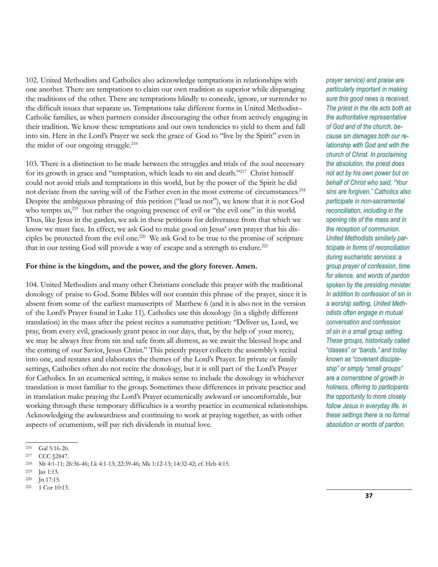102. United Methodists and Catholics also acknowledge temptations in relationships with one another. There are temptations to claim our own tradition as superior while disparaging the traditions of the other. There are temptations blindly to concede, ignore, or surrender to the difficult issues that separate us. Temptations take different forms in United Methodist– Catholic families, as when partners consider discouraging the other from actively engaging in their tradition. We know these temptations and our own tendencies to yield to them and fall into sin. Here in the Lord's Prayer we seek the grace of God to "live by the Spirit" even in the midst of our ongoing struggle.<sup>216</sup>

103. There is a distinction to be made between the struggles and trials of the soul necessary for its growth in grace and "temptation, which leads to sin and death."<sup>217</sup> Christ himself could not avoid trials and temptations in this world, but by the power of the Spirit he did not deviate from the saving will of the Father even in the most extreme of circumstances.<sup>218</sup> Despite the ambiguous phrasing of this petition ("lead us not"), we know that it is not God who tempts us, $2^{19}$  but rather the ongoing presence of evil or "the evil one" in this world. Thus, like Jesus in the garden, we ask in these petitions for deliverance from that which we know we must face. In effect, we ask God to make good on Jesus' own prayer that his disciples be protected from the evil one.220 We ask God to be true to the promise of scripture that in our testing God will provide a way of escape and a strength to endure.<sup>221</sup>

## **For thine is the kingdom, and the power, and the glory forever. Amen.**

104. United Methodists and many other Christians conclude this prayer with the traditional doxology of praise to God. Some Bibles will not contain this phrase of the prayer, since it is absent from some of the earliest manuscripts of Matthew 6 (and it is also not in the version of the Lord's Prayer found in Luke 11). Catholics use this doxology (in a slightly different translation) in the mass after the priest recites a summative petition: "Deliver us, Lord, we pray, from every evil, graciously grant peace in our days, that, by the help of your mercy, we may be always free from sin and safe from all distress, as we await the blessed hope and the coming of our Savior, Jesus Christ." This priestly prayer collects the assembly's recital into one, and restates and elaborates the themes of the Lord's Prayer. In private or family settings, Catholics often do not recite the doxology, but it is still part of the Lord's Prayer for Catholics. In an ecumenical setting, it makes sense to include the doxology in whichever translation is most familiar to the group. Sometimes these differences in private practice and in translation make praying the Lord's Prayer ecumenically awkward or uncomfortable, but working through these temporary difficulties is a worthy practice in ecumenical relationships. Acknowledging the awkwardness and continuing to work at praying together, as with other aspects of ecumenism, will pay rich dividends in mutual love.

*prayer service) and praise are particularly important in making sure this good news is received. The priest in the rite acts both as the authoritative representative of God and of the church, because sin damages both our relationship with God and with the church of Christ. In proclaiming the absolution, the priest does not act by his own power but on behalf of Christ who said, "Your sins are forgiven." Catholics also participate in non-sacramental reconciliation, including in the opening rite of the mass and in the reception of communion. United Methodists similarly participate in forms of reconciliation during eucharistic services: a group prayer of confession, time for silence, and words of pardon spoken by the presiding minister. In addition to confession of sin in a worship setting, United Methodists often engage in mutual conversation and confession of sin in a small group setting. These groups, historically called "classes" or "bands," and today known as "covenant discipleship" or simply "small groups" are a cornerstone of growth in holiness, offering to participants the opportunity to more closely follow Jesus in everyday life. In these settings there is no formal absolution or words of pardon.* 

<sup>216</sup> Gal 5:16-26.

<sup>217</sup> CCC §2847.

<sup>218</sup> Mt 4:1-11; 26:36-46; Lk 4:1-13; 22:39-46; Mk 1:12-13; 14:32-42; cf. Heb 4:15.

<sup>219</sup> Jas 1:13.

<sup>220</sup> Jn 17:15.

<sup>221</sup> 1 Cor 10:13.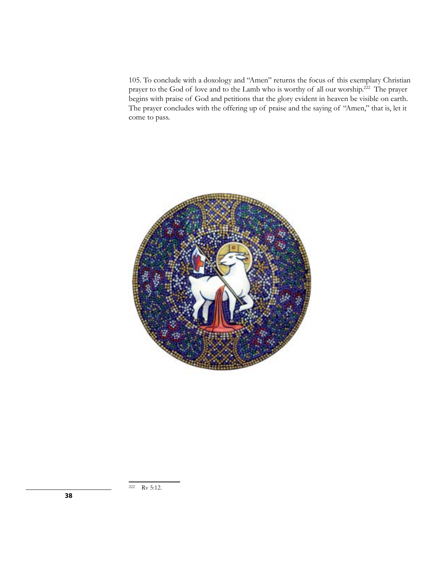105. To conclude with a doxology and "Amen" returns the focus of this exemplary Christian prayer to the God of love and to the Lamb who is worthy of all our worship.222 The prayer begins with praise of God and petitions that the glory evident in heaven be visible on earth. The prayer concludes with the offering up of praise and the saying of "Amen," that is, let it come to pass.

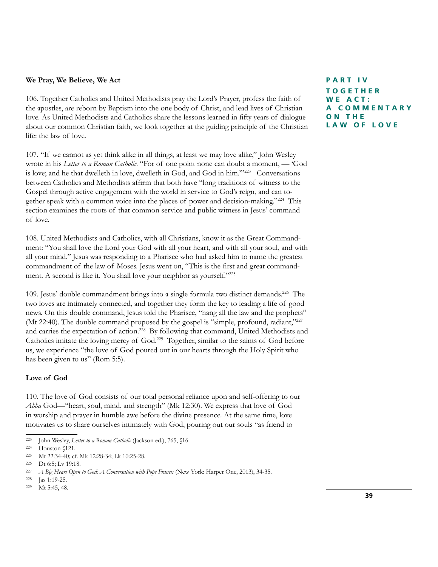## **We Pray, We Believe, We Act**

106. Together Catholics and United Methodists pray the Lord's Prayer, profess the faith of the apostles, are reborn by Baptism into the one body of Christ, and lead lives of Christian love. As United Methodists and Catholics share the lessons learned in fifty years of dialogue about our common Christian faith, we look together at the guiding principle of the Christian life: the law of love.

107. "If we cannot as yet think alike in all things, at least we may love alike," John Wesley wrote in his *Letter to a Roman Catholic*. "For of one point none can doubt a moment, — 'God is love; and he that dwelleth in love, dwelleth in God, and God in him.""<sup>223</sup> Conversations between Catholics and Methodists affirm that both have "long traditions of witness to the Gospel through active engagement with the world in service to God's reign, and can together speak with a common voice into the places of power and decision-making."224 This section examines the roots of that common service and public witness in Jesus' command of love.

108. United Methodists and Catholics, with all Christians, know it as the Great Commandment: "You shall love the Lord your God with all your heart, and with all your soul, and with all your mind." Jesus was responding to a Pharisee who had asked him to name the greatest commandment of the law of Moses. Jesus went on, "This is the first and great commandment. A second is like it. You shall love your neighbor as yourself."225

109. Jesus' double commandment brings into a single formula two distinct demands.<sup>226</sup> The two loves are intimately connected, and together they form the key to leading a life of good news. On this double command, Jesus told the Pharisee, "hang all the law and the prophets" (Mt 22:40). The double command proposed by the gospel is "simple, profound, radiant,"<sup>227</sup> and carries the expectation of action.228 By following that command, United Methodists and Catholics imitate the loving mercy of God.229 Together, similar to the saints of God before us, we experience "the love of God poured out in our hearts through the Holy Spirit who has been given to us" (Rom 5:5).

## **Love of God**

110. The love of God consists of our total personal reliance upon and self-offering to our *Abba* God—"heart, soul, mind, and strength" (Mk 12:30). We express that love of God in worship and prayer in humble awe before the divine presence. At the same time, love motivates us to share ourselves intimately with God, pouring out our souls "as friend to

**PART IV TOGETHER WE ACT: A C O M M E N T A R Y O N T H E LAW OF LOVE**

<sup>223</sup> John Wesley, *Letter to a Roman Catholic* (Jackson ed.), 765, §16.

<sup>224</sup> Houston §121.

<sup>225</sup> Mt 22:34-40; cf. Mk 12:28-34; Lk 10:25-28.

<sup>226</sup> Dt 6:5; Lv 19:18.

<sup>227</sup> *A Big Heart Open to God: A Conversation with Pope Francis* (New York: Harper One, 2013), 34-35.

<sup>228</sup> Jas 1:19-25.

<sup>229</sup> Mt 5:45, 48.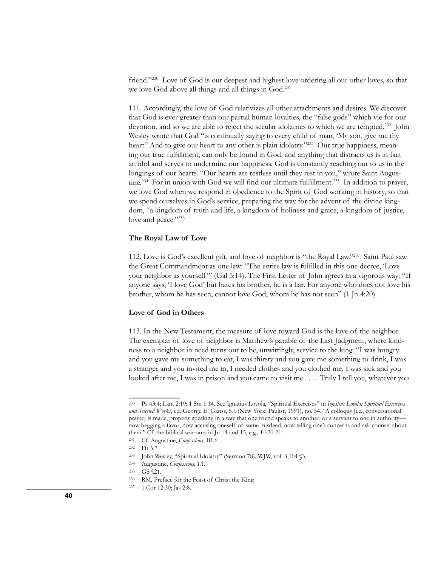friend."230 Love of God is our deepest and highest love ordering all our other loves, so that we love God above all things and all things in God.<sup>231</sup>

111. Accordingly, the love of God relativizes all other attachments and desires. We discover that God is ever greater than our partial human loyalties, the "false gods" which vie for our devotion, and so we are able to reject the secular idolatries to which we are tempted.<sup>232</sup> John Wesley wrote that God "is continually saying to every child of man, 'My son, give me thy heart!' And to give our heart to any other is plain idolatry."<sup>233</sup> Our true happiness, meaning our true fulfillment, can only be found in God, and anything that distracts us is in fact an idol and serves to undermine our happiness. God is constantly reaching out to us in the longings of our hearts. "Our hearts are restless until they rest in you," wrote Saint Augustine.<sup>234</sup> For in union with God we will find our ultimate fulfillment.<sup>235</sup> In addition to prayer, we love God when we respond in obedience to the Spirit of God working in history, so that we spend ourselves in God's service, preparing the way for the advent of the divine kingdom, "a kingdom of truth and life, a kingdom of holiness and grace, a kingdom of justice, love and peace."236

#### **The Royal Law of Love**

112. Love is God's excellent gift, and love of neighbor is "the Royal Law."237 Saint Paul saw the Great Commandment as one law: "The entire law is fulfilled in this one decree, 'Love your neighbor as yourself"" (Gal 5:14). The First Letter of John agrees in a vigorous way: "If anyone says, 'I love God' but hates his brother, he is a liar. For anyone who does not love his brother, whom he has seen, cannot love God, whom he has not seen" (1 Jn 4:20).

### **Love of God in Others**

113. In the New Testament, the measure of love toward God is the love of the neighbor. The exemplar of love of neighbor is Matthew's parable of the Last Judgment, where kindness to a neighbor in need turns out to be, unwittingly, service to the king. "I was hungry and you gave me something to eat, I was thirsty and you gave me something to drink, I was a stranger and you invited me in, I needed clothes and you clothed me, I was sick and you looked after me, I was in prison and you came to visit me . . . . Truly I tell you, whatever you

<sup>230</sup> Ps 43:4; Lam 2:19; 1 Sm 1:14. See Ignatius Loyola, "Spiritual Exercises" in *Ignatius Loyola: Spiritual Exercises and Selected Works*, ed. George E. Ganss, S.J. (New York: Paulist, 1991), no. 54. "A colloquy [i.e., conversational prayer] is made, properly speaking in a way that one friend speaks to another, or a servant to one in authority now begging a favor, now accusing oneself of some misdeed, now telling one's concerns and ask counsel about them." Cf. the biblical warrants in Jn 14 and 15, e.g., 14:20-21.

<sup>231</sup> Cf. Augustine, *Confessions*, III.6.

<sup>232</sup> Dt 5:7.

<sup>233</sup> John Wesley, "Spiritual Idolatry" (Sermon 78), WJW, vol. 3,104 §3.

<sup>234</sup> Augustine, *Confessions*, I.1.

<sup>235</sup> GS §21.

<sup>236</sup> RM, Preface for the Feast of Christ the King.

<sup>237</sup> 1 Cor 12:30; Jas 2:8.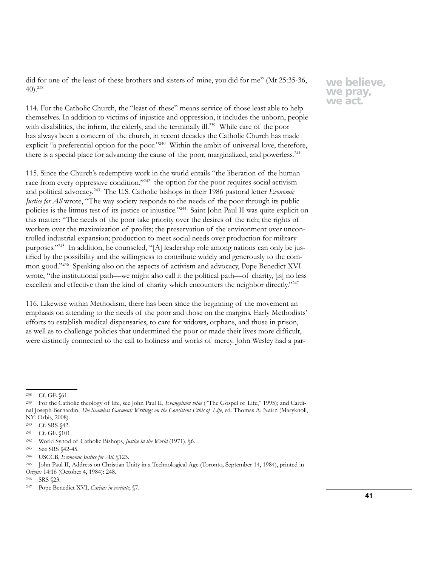did for one of the least of these brothers and sisters of mine, you did for me" (Mt 25:35-36, 40).238

114. For the Catholic Church, the "least of these" means service of those least able to help themselves. In addition to victims of injustice and oppression, it includes the unborn, people with disabilities, the infirm, the elderly, and the terminally ill.<sup>239</sup> While care of the poor has always been a concern of the church, in recent decades the Catholic Church has made explicit "a preferential option for the poor."<sup>240</sup> Within the ambit of universal love, therefore, there is a special place for advancing the cause of the poor, marginalized, and powerless.<sup>241</sup>

115. Since the Church's redemptive work in the world entails "the liberation of the human race from every oppressive condition,"<sup>242</sup> the option for the poor requires social activism and political advocacy.243 The U.S. Catholic bishops in their 1986 pastoral letter *Economic Justice for All* wrote, "The way society responds to the needs of the poor through its public policies is the litmus test of its justice or injustice."244 Saint John Paul II was quite explicit on this matter: "The needs of the poor take priority over the desires of the rich; the rights of workers over the maximization of profits; the preservation of the environment over uncontrolled industrial expansion; production to meet social needs over production for military purposes."245 In addition, he counseled, "[A] leadership role among nations can only be justified by the possibility and the willingness to contribute widely and generously to the common good."246 Speaking also on the aspects of activism and advocacy, Pope Benedict XVI wrote, "the institutional path—we might also call it the political path—of charity, [is] no less excellent and effective than the kind of charity which encounters the neighbor directly."<sup>247</sup>

116. Likewise within Methodism, there has been since the beginning of the movement an emphasis on attending to the needs of the poor and those on the margins. Early Methodists' efforts to establish medical dispensaries, to care for widows, orphans, and those in prison, as well as to challenge policies that undermined the poor or made their lives more difficult, were distinctly connected to the call to holiness and works of mercy. John Wesley had a par-

<sup>246</sup> SRS §23.

<sup>238</sup> Cf. GE §61.

<sup>239</sup> For the Catholic theology of life, see John Paul II, *Evangelium vitae* ("The Gospel of Life," 1995); and Cardinal Joseph Bernardin, *The Seamless Garment: Writings on the Consistent Ethic of Life*, ed. Thomas A. Nairn (Maryknoll, NY: Orbis, 2008).

<sup>240</sup> Cf. SRS §42.

<sup>241</sup> Cf. GE §101.

<sup>242</sup> World Synod of Catholic Bishops, *Justice in the World* (1971), §6.

<sup>243</sup> See SRS §42-45.

<sup>244</sup> USCCB, *Economic Justice for All*, §123.

<sup>245</sup> John Paul II, Address on Christian Unity in a Technological Age (Toronto, September 14, 1984), printed in *Origins* 14:16 (October 4, 1984): 248.

<sup>247</sup> Pope Benedict XVI, *Caritas in veritate*, §7.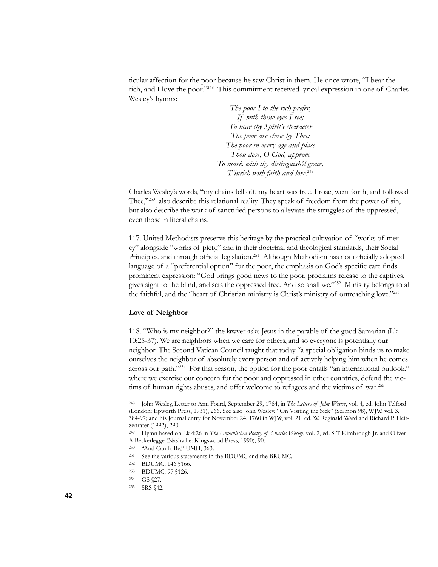ticular affection for the poor because he saw Christ in them. He once wrote, "I bear the rich, and I love the poor."248 This commitment received lyrical expression in one of Charles Wesley's hymns:

> *The poor I to the rich prefer, If with thine eyes I see; To bear thy Spirit's character The poor are chose by Thee: The poor in every age and place Thou dost, O God, approve To mark with thy distinguish'd grace, T'inrich with faith and love*. 249

Charles Wesley's words, "my chains fell off, my heart was free, I rose, went forth, and followed Thee,"<sup>250</sup> also describe this relational reality. They speak of freedom from the power of sin, but also describe the work of sanctified persons to alleviate the struggles of the oppressed, even those in literal chains.

117. United Methodists preserve this heritage by the practical cultivation of "works of mercy" alongside "works of piety," and in their doctrinal and theological standards, their Social Principles, and through official legislation.<sup>251</sup> Although Methodism has not officially adopted language of a "preferential option" for the poor, the emphasis on God's specific care finds prominent expression: "God brings good news to the poor, proclaims release to the captives, gives sight to the blind, and sets the oppressed free. And so shall we."252 Ministry belongs to all the faithful, and the "heart of Christian ministry is Christ's ministry of outreaching love."253

#### **Love of Neighbor**

118. "Who is my neighbor?" the lawyer asks Jesus in the parable of the good Samarian (Lk 10:25-37). We are neighbors when we care for others, and so everyone is potentially our neighbor. The Second Vatican Council taught that today "a special obligation binds us to make ourselves the neighbor of absolutely every person and of actively helping him when he comes across our path."254 For that reason, the option for the poor entails "an international outlook," where we exercise our concern for the poor and oppressed in other countries, defend the victims of human rights abuses, and offer welcome to refugees and the victims of war.<sup>255</sup>

<sup>248</sup> John Wesley, Letter to Ann Foard, September 29, 1764, in *The Letters of John Wesley*, vol. 4, ed. John Telford (London: Epworth Press, 1931), 266. See also John Wesley, "On Visiting the Sick" (Sermon 98), WJW, vol. 3, 384-97; and his Journal entry for November 24, 1760 in WJW, vol. 21, ed. W. Reginald Ward and Richard P. Heitzenrater (1992), 290.

<sup>249</sup> Hymn based on Lk 4:26 in *The Unpublished Poetry of Charles Wesley*, vol. 2, ed. S T Kimbrough Jr. and Oliver A Beckerlegge (Nashville: Kingswood Press, 1990), 90.

<sup>250</sup> "And Can It Be," UMH, 363.

<sup>251</sup> See the various statements in the BDUMC and the BRUMC.

<sup>252</sup> BDUMC, 146 §166.

<sup>253</sup> BDUMC, 97 §126.

<sup>254</sup> GS §27.

<sup>255</sup> SRS §42.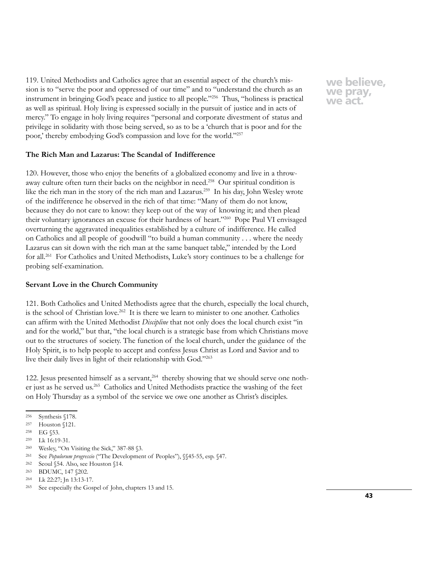119. United Methodists and Catholics agree that an essential aspect of the church's mission is to "serve the poor and oppressed of our time" and to "understand the church as an instrument in bringing God's peace and justice to all people."256 Thus, "holiness is practical as well as spiritual. Holy living is expressed socially in the pursuit of justice and in acts of mercy." To engage in holy living requires "personal and corporate divestment of status and privilege in solidarity with those being served, so as to be a 'church that is poor and for the poor,' thereby embodying God's compassion and love for the world."257

## **The Rich Man and Lazarus: The Scandal of Indifference**

120. However, those who enjoy the benefits of a globalized economy and live in a throwaway culture often turn their backs on the neighbor in need.258 Our spiritual condition is like the rich man in the story of the rich man and Lazarus.259 In his day, John Wesley wrote of the indifference he observed in the rich of that time: "Many of them do not know, because they do not care to know: they keep out of the way of knowing it; and then plead their voluntary ignorances an excuse for their hardness of heart."260 Pope Paul VI envisaged overturning the aggravated inequalities established by a culture of indifference. He called on Catholics and all people of goodwill "to build a human community . . . where the needy Lazarus can sit down with the rich man at the same banquet table," intended by the Lord for all.<sup>261</sup> For Catholics and United Methodists, Luke's story continues to be a challenge for probing self-examination.

#### **Servant Love in the Church Community**

121. Both Catholics and United Methodists agree that the church, especially the local church, is the school of Christian love.<sup>262</sup> It is there we learn to minister to one another. Catholics can affirm with the United Methodist *Discipline* that not only does the local church exist "in and for the world," but that, "the local church is a strategic base from which Christians move out to the structures of society. The function of the local church, under the guidance of the Holy Spirit, is to help people to accept and confess Jesus Christ as Lord and Savior and to live their daily lives in light of their relationship with God."263

122. Jesus presented himself as a servant, $2^{64}$  thereby showing that we should serve one nother just as he served us.<sup>265</sup> Catholics and United Methodists practice the washing of the feet on Holy Thursday as a symbol of the service we owe one another as Christ's disciples.

<sup>262</sup> Seoul §54. Also, see Houston §14.

<sup>256</sup> Synthesis §178.

<sup>257</sup> Houston §121.

<sup>258</sup> EG §53.

<sup>259</sup> Lk 16:19-31.

<sup>260</sup> Wesley, "On Visiting the Sick," 387-88 §3.

<sup>261</sup> See *Populorum progressio* ("The Development of Peoples"), §§45-55, esp. §47.

<sup>263</sup> BDUMC, 147 §202.

<sup>264</sup> Lk 22:27; Jn 13:13-17.

<sup>265</sup> See especially the Gospel of John, chapters 13 and 15.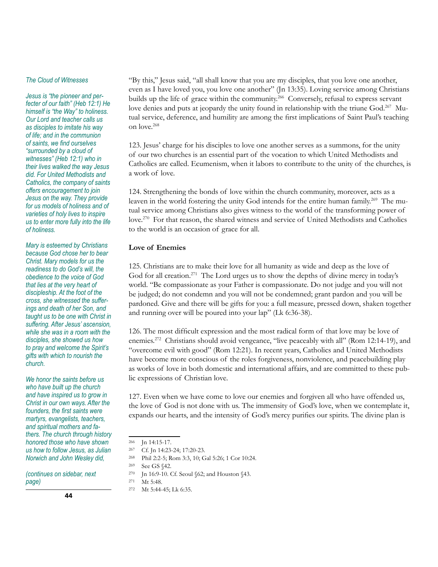#### *The Cloud of Witnesses*

*Jesus is "the pioneer and perfecter of our faith" (Heb 12:1) He himself is "the Way" to holiness. Our Lord and teacher calls us as disciples to imitate his way of life; and in the communion of saints, we find ourselves "surrounded by a cloud of witnesses" (Heb 12:1) who in their lives walked the way Jesus did. For United Methodists and Catholics, the company of saints offers encouragement to join Jesus on the way. They provide for us models of holiness and of varieties of holy lives to inspire us to enter more fully into the life of holiness.*

*Mary is esteemed by Christians because God chose her to bear Christ. Mary models for us the readiness to do God's will, the obedience to the voice of God that lies at the very heart of discipleship. At the foot of the cross, she witnessed the sufferings and death of her Son, and taught us to be one with Christ in suffering. After Jesus' ascension, while she was in a room with the disciples, she showed us how to pray and welcome the Spirit's gifts with which to nourish the church.* 

*We honor the saints before us who have built up the church and have inspired us to grow in Christ in our own ways. After the founders, the first saints were martyrs, evangelists, teachers, and spiritual mothers and fathers. The church through history honored those who have shown us how to follow Jesus, as Julian Norwich and John Wesley did,* 

*(continues on sidebar, next page)*

"By this," Jesus said, "all shall know that you are my disciples, that you love one another, even as I have loved you, you love one another" (Jn 13:35). Loving service among Christians builds up the life of grace within the community.<sup>266</sup> Conversely, refusal to express servant love denies and puts at jeopardy the unity found in relationship with the triune God.<sup>267</sup> Mutual service, deference, and humility are among the first implications of Saint Paul's teaching on love.268

123. Jesus' charge for his disciples to love one another serves as a summons, for the unity of our two churches is an essential part of the vocation to which United Methodists and Catholics are called. Ecumenism, when it labors to contribute to the unity of the churches, is a work of love.

124. Strengthening the bonds of love within the church community, moreover, acts as a leaven in the world fostering the unity God intends for the entire human family.<sup>269</sup> The mutual service among Christians also gives witness to the world of the transforming power of love.270 For that reason, the shared witness and service of United Methodists and Catholics to the world is an occasion of grace for all.

## **Love of Enemies**

125. Christians are to make their love for all humanity as wide and deep as the love of God for all creation.<sup>271</sup> The Lord urges us to show the depths of divine mercy in today's world. "Be compassionate as your Father is compassionate. Do not judge and you will not be judged; do not condemn and you will not be condemned; grant pardon and you will be pardoned. Give and there will be gifts for you: a full measure, pressed down, shaken together and running over will be poured into your lap" (Lk 6:36-38).

126. The most difficult expression and the most radical form of that love may be love of enemies.272 Christians should avoid vengeance, "live peaceably with all" (Rom 12:14-19), and "overcome evil with good" (Rom 12:21). In recent years, Catholics and United Methodists have become more conscious of the roles forgiveness, nonviolence, and peacebuilding play as works of love in both domestic and international affairs, and are committed to these public expressions of Christian love.

127. Even when we have come to love our enemies and forgiven all who have offended us, the love of God is not done with us. The immensity of God's love, when we contemplate it, expands our hearts, and the intensity of God's mercy purifies our spirits. The divine plan is

<sup>268</sup> Phil 2:2-5; Rom 3:3, 10; Gal 5:26; 1 Cor 10:24.

- <sup>270</sup> Jn 16:9-10. Cf. Seoul §62; and Houston §43.
- <sup>271</sup> Mt 5:48.
- <sup>272</sup> Mt 5:44-45; Lk 6:35.

<sup>266</sup> Jn 14:15-17.

<sup>267</sup> Cf. Jn 14:23-24; 17:20-23.

<sup>269</sup> See GS §42.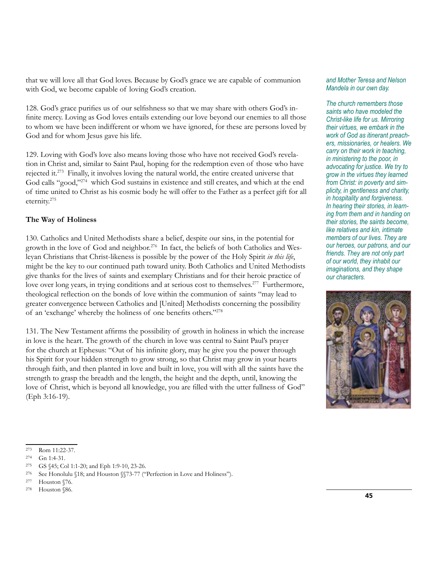that we will love all that God loves. Because by God's grace we are capable of communion with God, we become capable of loving God's creation.

128. God's grace purifies us of our selfishness so that we may share with others God's infinite mercy. Loving as God loves entails extending our love beyond our enemies to all those to whom we have been indifferent or whom we have ignored, for these are persons loved by God and for whom Jesus gave his life.

129. Loving with God's love also means loving those who have not received God's revelation in Christ and, similar to Saint Paul, hoping for the redemption even of those who have rejected it.273 Finally, it involves loving the natural world, the entire created universe that God calls "good,"274 which God sustains in existence and still creates, and which at the end of time united to Christ as his cosmic body he will offer to the Father as a perfect gift for all eternity.275

## **The Way of Holiness**

130. Catholics and United Methodists share a belief, despite our sins, in the potential for growth in the love of God and neighbor.<sup>276</sup> In fact, the beliefs of both Catholics and Wesleyan Christians that Christ-likeness is possible by the power of the Holy Spirit *in this life*, might be the key to our continued path toward unity. Both Catholics and United Methodists give thanks for the lives of saints and exemplary Christians and for their heroic practice of love over long years, in trying conditions and at serious cost to themselves.<sup>277</sup> Furthermore, theological reflection on the bonds of love within the communion of saints "may lead to greater convergence between Catholics and [United] Methodists concerning the possibility of an 'exchange' whereby the holiness of one benefits others."278

131. The New Testament affirms the possibility of growth in holiness in which the increase in love is the heart. The growth of the church in love was central to Saint Paul's prayer for the church at Ephesus: "Out of his infinite glory, may he give you the power through his Spirit for your hidden strength to grow strong, so that Christ may grow in your hearts through faith, and then planted in love and built in love, you will with all the saints have the strength to grasp the breadth and the length, the height and the depth, until, knowing the love of Christ, which is beyond all knowledge, you are filled with the utter fullness of God" (Eph 3:16-19).

#### *and Mother Teresa and Nelson Mandela in our own day.*

*The church remembers those saints who have modeled the Christ-like life for us. Mirroring their virtues, we embark in the work of God as itinerant preachers, missionaries, or healers. We carry on their work in teaching, in ministering to the poor, in advocating for justice. We try to grow in the virtues they learned from Christ: in poverty and simplicity, in gentleness and charity, in hospitality and forgiveness. In hearing their stories, in learning from them and in handing on their stories, the saints become, like relatives and kin, intimate members of our lives. They are our heroes, our patrons, and our friends. They are not only part of our world, they inhabit our imaginations, and they shape our characters.* 



<sup>275</sup> GS §45; Col 1:1-20; and Eph 1:9-10, 23-26.

<sup>278</sup> Houston §86.

<sup>273</sup> Rom 11:22-37.

<sup>274</sup> Gn 1:4-31.

<sup>276</sup> See Honolulu §18; and Houston §§73-77 ("Perfection in Love and Holiness").

<sup>277</sup> Houston §76.